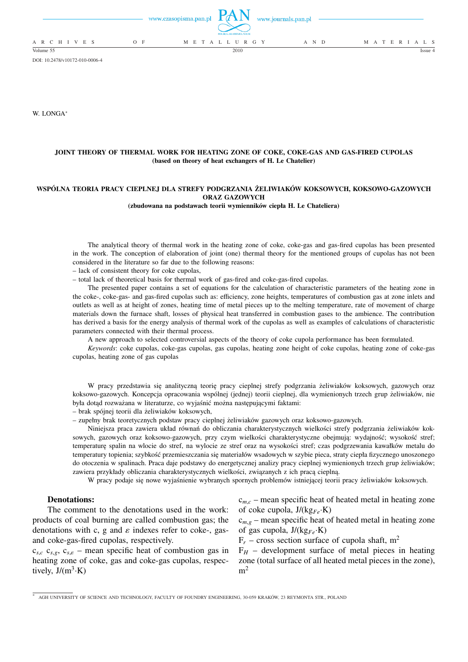|                          | www.czasopisma.pan.pl | POLSKA AKADEMIA NAUK | www.journals.pan.pl |                   |
|--------------------------|-----------------------|----------------------|---------------------|-------------------|
| A R C H I V E S<br>$O$ F |                       | M E T A L L U R G Y  | A N D               | M A T E R I A L S |
| Volume 55                |                       | 2010                 |                     | Issue $4$         |

DOI: 10.2478/v10172-010-0006-4

W. LONGA<sup>∗</sup>

## **JOINT THEORY OF THERMAL WORK FOR HEATING ZONE OF COKE, COKE-GAS AND GAS-FIRED CUPOLAS (based on theory of heat exchangers of H. Le Chatelier)**

### **WSPÓLNA TEORIA PRACY CIEPLNEJ DLA STREFY PODGRZANIA ŻELIWIAKÓW KOKSOWYCH, KOKSOWO-GAZOWYCH ORAZ GAZOWYCH**

**(zbudowana na podstawach teorii wymienników ciepła H. Le Chateliera)**

The analytical theory of thermal work in the heating zone of coke, coke-gas and gas-fired cupolas has been presented in the work. The conception of elaboration of joint (one) thermal theory for the mentioned groups of cupolas has not been considered in the literature so far due to the following reasons:

– lack of consistent theory for coke cupolas,

– total lack of theoretical basis for thermal work of gas-fired and coke-gas-fired cupolas.

The presented paper contains a set of equations for the calculation of characteristic parameters of the heating zone in the coke-, coke-gas- and gas-fired cupolas such as: efficiency, zone heights, temperatures of combustion gas at zone inlets and outlets as well as at height of zones, heating time of metal pieces up to the melting temperature, rate of movement of charge materials down the furnace shaft, losses of physical heat transferred in combustion gases to the ambience. The contribution has derived a basis for the energy analysis of thermal work of the cupolas as well as examples of calculations of characteristic parameters connected with their thermal process.

A new approach to selected controversial aspects of the theory of coke cupola performance has been formulated.

*Keywords*: coke cupolas, coke-gas cupolas, gas cupolas, heating zone height of coke cupolas, heating zone of coke-gas cupolas, heating zone of gas cupolas

W pracy przedstawia się analityczną teorię pracy cieplnej strefy podgrzania żeliwiaków koksowych, gazowych oraz koksowo-gazowych. Koncepcja opracowania wspólnej (jednej) teorii cieplnej, dla wymienionych trzech grup żeliwiaków, nie była dotąd rozważana w literaturze, co wyjaśnić można następującymi faktami:

– brak spójnej teorii dla żeliwiaków koksowych,

– zupełny brak teoretycznych podstaw pracy cieplnej żeliwiaków gazowych oraz koksowo-gazowych.

Niniejsza praca zawiera układ równań do obliczania charakterystycznych wielkości strefy podgrzania żeliwiaków koksowych, gazowych oraz koksowo-gazowych, przy czym wielkości charakterystyczne obejmują: wydajność; wysokość stref; temperaturę spalin na wlocie do stref, na wylocie ze stref oraz na wysokości stref; czas podgrzewania kawałków metalu do temperatury topienia; szybkość przemieszczania się materiałów wsadowych w szybie pieca, straty ciepła fizycznego unoszonego do otoczenia w spalinach. Praca daje podstawy do energetycznej analizy pracy cieplnej wymienionych trzech grup żeliwiaków; zawiera przykłady obliczania charakterystycznych wielkości, związanych z ich pracą cieplną.

W pracy podaje się nowe wyjaśnienie wybranych spornych problemów istniejącej teorii pracy żeliwiaków koksowych.

## **Denotations:**

The comment to the denotations used in the work: products of coal burning are called combustion gas; the denotations with c, g and  $\varepsilon$  indexes refer to coke-, gasand coke-gas-fired cupolas, respectively.

 $c_{s,c}$   $c_{s,g}$ ,  $c_{s,e}$  – mean specific heat of combustion gas in heating zone of coke, gas and coke-gas cupolas, respectively,  $J/(m^3 \cdot K)$ 

c*m*,*<sup>c</sup>* – mean specific heat of heated metal in heating zone of coke cupola, J/(kg*Fe*·K)

 $c_{m,g}$  – mean specific heat of heated metal in heating zone of gas cupola, J/(kg*Fe*·K)

 $F_r$  – cross section surface of cupola shaft, m<sup>2</sup>

 $F_H$  – development surface of metal pieces in heating zone (total surface of all heated metal pieces in the zone),  $m<sup>2</sup>$ 

<sup>∗</sup> AGH UNIVERSITY OF SCIENCE AND TECHNOLOGY, FACULTY OF FOUNDRY ENGINEERING, 30-059 KRAKÓW, 23 REYMONTA STR., POLAND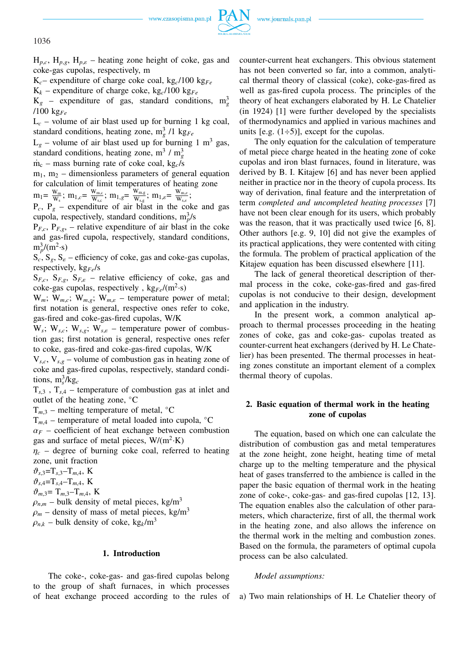

1036

 $H_{p,c}$ ,  $H_{p,g}$ ,  $H_{p,\varepsilon}$  – heating zone height of coke, gas and coke-gas cupolas, respectively, m

 $K_c$ – expenditure of charge coke coal, kg<sub>c</sub>/100 kg<sub>Fe</sub>

 $K_k$  – expenditure of charge coke, kg<sub>c</sub>/100 kg<sub>Fe</sub>

 $K_g$  – expenditure of gas, standard conditions,  $m_g^3$ /100 kg*Fe*

 $L_c$  – volume of air blast used up for burning 1 kg coal, standard conditions, heating zone,  $m_g^3$  /1 kg<sub>Fe</sub>

 $L<sub>g</sub>$  – volume of air blast used up for burning 1 m<sup>3</sup> gas, standard conditions, heating zone,  $m^3 / m_g^3$ 

 $\dot{m}_c$  – mass burning rate of coke coal, kg<sub>c</sub>/s

 $m_1$ ,  $m_2$  – dimensionless parameters of general equation for calculation of limit temperatures of heating zone

 $m_1 = \frac{W_m}{W_c}$  $\frac{W_{\text{m}}}{W_{\text{s}}}$ ;  $m_{1,c} = \frac{W_{\text{m},c}}{W_{\text{s},c}}$  $\frac{W_{m,c}}{W_{s,c}}$ ;  $m_{1,g}$ =  $\frac{W_{m,g}}{W_{s,g}}$  $\frac{W_{m,g}}{W_{s,g}}$ ;  $m_{1,\varepsilon}$ =  $\frac{W_{m,\varepsilon}}{W_{s,\varepsilon}}$  $\frac{\mathbf{w}_{\text{m},\varepsilon}}{\mathbf{W}_{\text{s},\varepsilon}}$  ;

 $P_c$ ,  $P_g$  – expenditure of air blast in the coke and gas cupola, respectively, standard conditions,  $m_p^3/s$ 

 $P_{F,c}$ ,  $P_{F,g}$ , – relative expenditure of air blast in the coke and gas-fired cupola, respectively, standard conditions,  $m_p^3/(m^2 \cdot s)$ 

 $S_c$ ,  $S_e$ ,  $S_e$  – efficiency of coke, gas and coke-gas cupolas, respectively, kg*Fe*/s

 $S_{F,c}$ ,  $S_{F,g}$ ,  $S_{F,\varepsilon}$  – relative efficiency of coke, gas and coke-gas cupolas, respectively,  $kg_{Fe}/(m^2 \cdot s)$ 

 $W_m$ ;  $W_{m,c}$ ;  $W_{m,g}$ ;  $W_{m,e}$  – temperature power of metal; first notation is general, respective ones refer to coke, gas-fired and coke-gas-fired cupolas, W/K

 $W_s$ ;  $W_{s,c}$ ;  $W_{s,g}$ ;  $W_{s,e}$  – temperature power of combustion gas; first notation is general, respective ones refer to coke, gas-fired and coke-gas-fired cupolas, W/K

 $V_{s,c}$ ,  $V_{s,g}$  – volume of combustion gas in heating zone of coke and gas-fired cupolas, respectively, standard conditions,  $m_s^3/kg_c$ 

 $T_{s,3}$ ,  $T_{s,4}$  – temperature of combustion gas at inlet and outlet of the heating zone, °C

 $T_{m,3}$  – melting temperature of metal,  $°C$ 

 $T_{m,4}$  – temperature of metal loaded into cupola,  $°C$ 

 $\alpha_F$  – coefficient of heat exchange between combustion gas and surface of metal pieces,  $W/(m^2 \cdot K)$ 

 $\eta_c$  – degree of burning coke coal, referred to heating zone, unit fraction

 $\vartheta_{s,3} = T_{s,3} - T_{m,4}$ , K

$$
\vartheta_{s,4} = T_{s,4} - T_{m,4}, \ \text{K}
$$

 $\vartheta_{m,3} = T_{m,3} - T_{m,4}$ , K

 $\rho_{n,m}$  – bulk density of metal pieces, kg/m<sup>3</sup>

 $\rho_m$  – density of mass of metal pieces, kg/m<sup>3</sup>

 $\rho_{n,k}$  – bulk density of coke, kg<sub>k</sub>/m<sup>3</sup>

## **1. Introduction**

The coke-, coke-gas- and gas-fired cupolas belong to the group of shaft furnaces, in which processes of heat exchange proceed according to the rules of counter-current heat exchangers. This obvious statement has not been converted so far, into a common, analytical thermal theory of classical (coke), coke-gas-fired as well as gas-fired cupola process. The principles of the theory of heat exchangers elaborated by H. Le Chatelier (in 1924) [1] were further developed by the specialists of thermodynamics and applied in various machines and units [e.g.  $(1\div 5)$ ], except for the cupolas.

The only equation for the calculation of temperature of metal piece charge heated in the heating zone of coke cupolas and iron blast furnaces, found in literature, was derived by B. I. Kitajew [6] and has never been applied neither in practice nor in the theory of cupola process. Its way of derivation, final feature and the interpretation of term *completed and uncompleted heating processes* [7] have not been clear enough for its users, which probably was the reason, that it was practically used twice [6, 8]. Other authors [e.g. 9, 10] did not give the examples of its practical applications, they were contented with citing the formula. The problem of practical application of the Kitajew equation has been discussed elsewhere [11].

The lack of general theoretical description of thermal process in the coke, coke-gas-fired and gas-fired cupolas is not conducive to their design, development and application in the industry.

In the present work, a common analytical approach to thermal processes proceeding in the heating zones of coke, gas and coke-gas- cupolas treated as counter-current heat exchangers (derived by H. Le Chatelier) has been presented. The thermal processes in heating zones constitute an important element of a complex thermal theory of cupolas.

## **2. Basic equation of thermal work in the heating zone of cupolas**

The equation, based on which one can calculate the distribution of combustion gas and metal temperatures at the zone height, zone height, heating time of metal charge up to the melting temperature and the physical heat of gases transferred to the ambience is called in the paper the basic equation of thermal work in the heating zone of coke-, coke-gas- and gas-fired cupolas [12, 13]. The equation enables also the calculation of other parameters, which characterize, first of all, the thermal work in the heating zone, and also allows the inference on the thermal work in the melting and combustion zones. Based on the formula, the parameters of optimal cupola process can be also calculated.

## *Model assumptions:*

a) Two main relationships of H. Le Chatelier theory of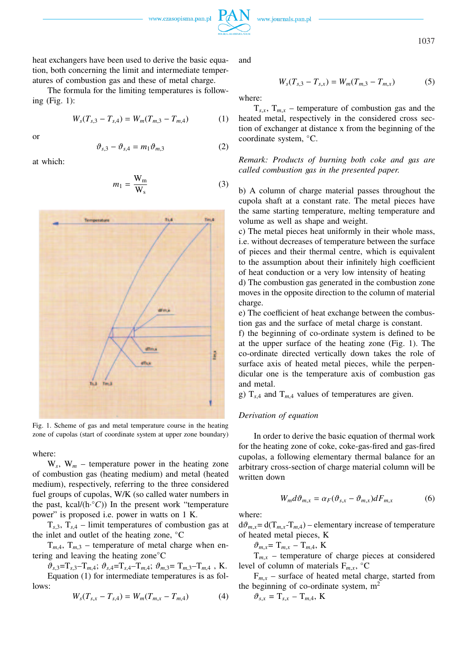

1037

heat exchangers have been used to derive the basic equation, both concerning the limit and intermediate temperatures of combustion gas and these of metal charge.

The formula for the limiting temperatures is following (Fig. 1):

$$
W_s(T_{s,3} - T_{s,4}) = W_m(T_{m,3} - T_{m,4})
$$
 (1)

or

$$
\vartheta_{s,3} - \vartheta_{s,4} = m_1 \vartheta_{m,3} \tag{2}
$$

at which:

$$
m_1 = \frac{W_m}{W_s} \tag{3}
$$



Fig. 1. Scheme of gas and metal temperature course in the heating zone of cupolas (start of coordinate system at upper zone boundary)

where:

 $W_s$ ,  $W_m$  – temperature power in the heating zone of combustion gas (heating medium) and metal (heated medium), respectively, referring to the three considered fuel groups of cupolas, W/K (so called water numbers in the past, kcal/(h<sup>o</sup>C)) In the present work "temperature power" is proposed i.e. power in watts on 1 K.

 $T_{s,3}$ ,  $T_{s,4}$  – limit temperatures of combustion gas at the inlet and outlet of the heating zone, ◦C

 $T_{m,4}$ ,  $T_{m,3}$  – temperature of metal charge when entering and leaving the heating zone◦C

 $\vartheta_{s,3} = T_{s,3} - T_{m,4}; \ \vartheta_{s,4} = T_{s,4} - T_{m,4}; \ \vartheta_{m,3} = T_{m,3} - T_{m,4}$ , K. Equation (1) for intermediate temperatures is as follows:

$$
W_s(T_{s,x} - T_{s,4}) = W_m(T_{m,x} - T_{m,4})
$$
 (4)

and

$$
W_s(T_{s,3} - T_{s,x}) = W_m(T_{m,3} - T_{m,x})
$$
 (5)

where:

 $T_{s,x}$ ,  $T_{m,x}$  – temperature of combustion gas and the heated metal, respectively in the considered cross section of exchanger at distance x from the beginning of the coordinate system, ◦C.

*Remark: Products of burning both coke and gas are called combustion gas in the presented paper.*

b) A column of charge material passes throughout the cupola shaft at a constant rate. The metal pieces have the same starting temperature, melting temperature and volume as well as shape and weight.

c) The metal pieces heat uniformly in their whole mass, i.e. without decreases of temperature between the surface of pieces and their thermal centre, which is equivalent to the assumption about their infinitely high coefficient of heat conduction or a very low intensity of heating

d) The combustion gas generated in the combustion zone moves in the opposite direction to the column of material charge.

e) The coefficient of heat exchange between the combustion gas and the surface of metal charge is constant.

f) the beginning of co-ordinate system is defined to be at the upper surface of the heating zone (Fig. 1). The co-ordinate directed vertically down takes the role of surface axis of heated metal pieces, while the perpendicular one is the temperature axis of combustion gas and metal.

g)  $T_{s,4}$  and  $T_{m,4}$  values of temperatures are given.

## *Derivation of equation*

In order to derive the basic equation of thermal work for the heating zone of coke, coke-gas-fired and gas-fired cupolas, a following elementary thermal balance for an arbitrary cross-section of charge material column will be written down

$$
W_m d\vartheta_{m,x} = \alpha_F (\vartheta_{s,x} - \vartheta_{m,x}) dF_{m,x}
$$
 (6)

where:

 $d\vartheta_{m,x} = d(T_{m,x} - T_{m,4}) -$  elementary increase of temperature of heated metal pieces, K

 $\vartheta_{m,x} = T_{m,x} - T_{m,4}$ , K

 $T_{m,x}$  – temperature of charge pieces at considered level of column of materials  $F_{m,x}$ , °C

 $F_{m,x}$  – surface of heated metal charge, started from the beginning of co-ordinate system,  $m<sup>2</sup>$ 

$$
\vartheta_{s,x} = \mathrm{T}_{s,x} - \mathrm{T}_{m,4}, \mathrm{K}
$$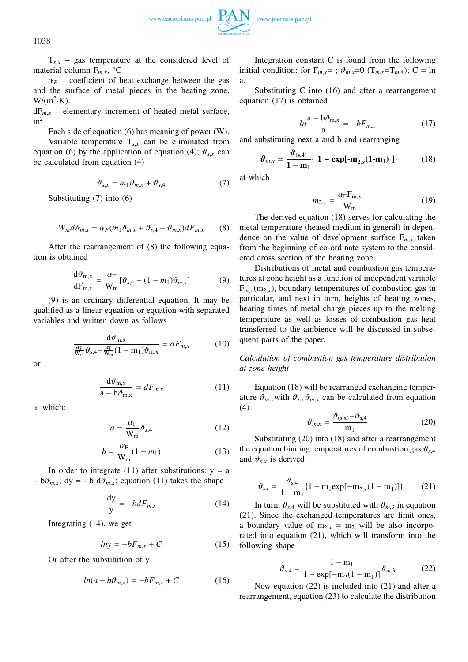

www.journals.pan.pl

 $T_{s,x}$  – gas temperature at the considered level of material column  $F_{m,x}$ ,  $°C$ 

 $\alpha_F$  – coefficient of heat exchange between the gas and the surface of metal pieces in the heating zone,  $W/(m^2 \cdot K)$ .

 $dF_{m,x}$  – elementary increment of heated metal surface,  $m<sup>2</sup>$ 

Each side of equation (6) has meaning of power (W).

Variable temperature  $T_{s,x}$  can be eliminated from equation (6) by the application of equation (4);  $\vartheta_{s,x}$  can be calculated from equation (4)

$$
\vartheta_{s,x} = m_1 \vartheta_{m,x} + \vartheta_{s,4} \tag{7}
$$

Substituting (7) into (6)

$$
W_m d\vartheta_{m,x} = \alpha_F(m_1 \vartheta_{m,x} + \vartheta_{s,4} - \vartheta_{m,x}) dF_{m,x}
$$
 (8)

After the rearrangement of (8) the following equation is obtained

$$
\frac{d\vartheta_{m,x}}{dF_{m,x}} = \frac{\alpha_F}{W_m} [\vartheta_{s,4} - (1 - m_1)\vartheta_{m,x}]
$$
\n(9)

(9) is an ordinary differential equation. It may be qualified as a linear equation or equation with separated variables and written down as follows

$$
\frac{d\vartheta_{m,x}}{\frac{\alpha_F}{W_m}\vartheta_{s,4} - \frac{\alpha_F}{W_m}(1 - m_1)\vartheta_{m,x}} = dF_{m,x}
$$
 (10)

or

$$
\frac{d\vartheta_{m,x}}{a - b\vartheta_{m,x}} = dF_{m,x} \tag{11}
$$

at which:

$$
a = \frac{\alpha_{\rm F}}{\mathbf{W}_{\rm m}} \vartheta_{s,4} \tag{12}
$$

$$
b = \frac{\alpha_{\rm F}}{\mathbf{W}_{\rm m}} (1 - m_1) \tag{13}
$$

In order to integrate (11) after substitutions:  $y = a$  $-b\vartheta_{m,x}$ ; dy = - b d $\vartheta_{m,x}$ ; equation (11) takes the shape

$$
\frac{dy}{y} = -bdF_{m,x} \tag{14}
$$

Integrating (14), we get

$$
ln y = -bF_{m,x} + C \tag{15}
$$

Or after the substitution of y

$$
ln(a - b\vartheta_{m,x}) = -bF_{m,x} + C \tag{16}
$$

Integration constant C is found from the following initial condition: for  $F_{m,x} =$ ;  $\vartheta_{m,x} = 0$  ( $T_{m,x} = T_{m,4}$ ); C = ln a.

Substituting C into (16) and after a rearrangement equation (17) is obtained

$$
ln\frac{a - b\vartheta_{m,x}}{a} = -bF_{m,x} \tag{17}
$$

and substituting next a and b and rearranging

$$
\boldsymbol{\vartheta}_{m,x} = \frac{\boldsymbol{\vartheta}_{(s,4)}}{1 - m_1} \{ 1 - \exp[-m_{2,x}(1-m_1)] \} \tag{18}
$$

at which

$$
m_{2,x} = \frac{\alpha_{\rm F} F_{\rm m,x}}{W_{\rm m}}
$$
 (19)

The derived equation (18) serves for calculating the metal temperature (heated medium in general) in dependence on the value of development surface  $F_{m,r}$  taken from the beginning of co-ordinate system to the considered cross section of the heating zone.

Distributions of metal and combustion gas temperatures at zone height as a function of independent variable  $F_{m}$ <sub>x</sub>(m<sub>2x</sub>), boundary temperatures of combustion gas in particular, and next in turn, heights of heating zones, heating times of metal charge pieces up to the melting temperature as well as losses of combustion gas heat transferred to the ambience will be discussed in subsequent parts of the paper.

*Calculation of combustion gas temperature distribution at zone height*

Equation (18) will be rearranged exchanging temperature  $\vartheta_{m,x}$  with  $\vartheta_{s,x}\vartheta_{m,x}$  can be calculated from equation (4)

$$
\vartheta_{m,x} = \frac{\vartheta_{(s,x)} - \vartheta_{s,4}}{m_1} \tag{20}
$$

Substituting (20) into (18) and after a rearrangement the equation binding temperatures of combustion gas  $\vartheta_{s,4}$ and  $\vartheta_{s,x}$  is derived

$$
\vartheta_{sx} = \frac{\vartheta_{s,4}}{1 - m_1} \{1 - m_1 \exp[-m_{2,x}(1 - m_1)]\} \tag{21}
$$

In turn,  $\vartheta_{s,4}$  will be substituted with  $\vartheta_{m,3}$  in equation (21). Since the exchanged temperatures are limit ones, a boundary value of  $m_{2,x} = m_2$  will be also incorporated into equation (21), which will transform into the following shape

$$
\vartheta_{s,4} = \frac{1 - m_1}{1 - \exp[-m_2(1 - m_1)]} \vartheta_{m,3} \tag{22}
$$

Now equation (22) is included into (21) and after a rearrangement, equation (23) to calculate the distribution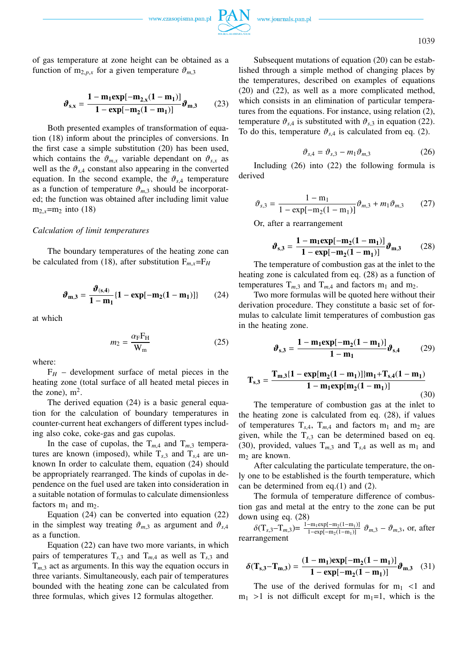

1039

of gas temperature at zone height can be obtained as a function of  $m_{2,p,x}$  for a given temperature  $\vartheta_{m,3}$ 

$$
\boldsymbol{\vartheta}_{s,x} = \frac{1 - m_1 \exp[-m_{2,x}(1 - m_1)]}{1 - \exp[-m_2(1 - m_1)]} \boldsymbol{\vartheta}_{m,3} \tag{23}
$$

Both presented examples of transformation of equation (18) inform about the principles of conversions. In the first case a simple substitution (20) has been used, which contains the  $\vartheta_{m,x}$  variable dependant on  $\vartheta_{s,x}$  as well as the  $\vartheta_{s,4}$  constant also appearing in the converted equation. In the second example, the  $\vartheta_{s,4}$  temperature as a function of temperature  $\vartheta_{m,3}$  should be incorporated; the function was obtained after including limit value  $m_{2,x} = m_2$  into (18)

### *Calculation of limit temperatures*

The boundary temperatures of the heating zone can be calculated from (18), after substitution  $F_{m,x} = F_H$ 

$$
\vartheta_{m,3} = \frac{\vartheta_{(s,4)}}{1 - m_1} \{1 - \exp[-m_2(1 - m_1)]\} \tag{24}
$$

at which

$$
m_2 = \frac{\alpha_{\rm F} F_{\rm H}}{W_{\rm m}}\tag{25}
$$

where:

 $F_H$  – development surface of metal pieces in the heating zone (total surface of all heated metal pieces in the zone),  $m^2$ .

The derived equation (24) is a basic general equation for the calculation of boundary temperatures in counter-current heat exchangers of different types including also coke, coke-gas and gas cupolas.

In the case of cupolas, the  $T_{m,4}$  and  $T_{m,3}$  temperatures are known (imposed), while  $T_{s,3}$  and  $T_{s,4}$  are unknown In order to calculate them, equation (24) should be appropriately rearranged. The kinds of cupolas in dependence on the fuel used are taken into consideration in a suitable notation of formulas to calculate dimensionless factors  $m_1$  and  $m_2$ .

Equation (24) can be converted into equation (22) in the simplest way treating  $\vartheta_{m,3}$  as argument and  $\vartheta_{s,4}$ as a function.

Equation (22) can have two more variants, in which pairs of temperatures  $T_{s,3}$  and  $T_{m,4}$  as well as  $T_{s,3}$  and  $T_{m,3}$  act as arguments. In this way the equation occurs in three variants. Simultaneously, each pair of temperatures bounded with the heating zone can be calculated from three formulas, which gives 12 formulas altogether.

Subsequent mutations of equation (20) can be established through a simple method of changing places by the temperatures, described on examples of equations (20) and (22), as well as a more complicated method, which consists in an elimination of particular temperatures from the equations. For instance, using relation (2), temperature  $\vartheta_{s,4}$  is substituted with  $\vartheta_{s,3}$  in equation (22). To do this, temperature  $\vartheta_{s,4}$  is calculated from eq. (2).

$$
\vartheta_{s,4} = \vartheta_{s,3} - m_1 \vartheta_{m,3} \tag{26}
$$

Including (26) into (22) the following formula is derived

$$
\vartheta_{s,3} = \frac{1 - m_1}{1 - \exp[-m_2(1 - m_1)]} \vartheta_{m,3} + m_1 \vartheta_{m,3} \qquad (27)
$$

Or, after a rearrangement

$$
\boldsymbol{\vartheta}_{s,3} = \frac{1 - m_1 \exp[-m_2(1 - m_1)]}{1 - \exp[-m_2(1 - m_1)]} \boldsymbol{\vartheta}_{m,3} \tag{28}
$$

The temperature of combustion gas at the inlet to the heating zone is calculated from eq. (28) as a function of temperatures  $T_{m,3}$  and  $T_{m,4}$  and factors  $m_1$  and  $m_2$ .

Two more formulas will be quoted here without their derivation procedure. They constitute a basic set of formulas to calculate limit temperatures of combustion gas in the heating zone.

$$
\vartheta_{s,3} = \frac{1 - m_1 \exp[-m_2(1 - m_1)]}{1 - m_1} \vartheta_{s,4}
$$
 (29)

$$
T_{s,3} = \frac{T_{m,3} \{1 - \exp[m_2(1 - m_1)]\}m_1 + T_{s,4}(1 - m_1)}{1 - m_1 \exp[m_2(1 - m_1)]}
$$
(30)

The temperature of combustion gas at the inlet to the heating zone is calculated from eq. (28), if values of temperatures  $T_{s,4}$ ,  $T_{m,4}$  and factors  $m_1$  and  $m_2$  are given, while the  $T_{s,3}$  can be determined based on eq. (30), provided, values  $T_{m,3}$  and  $T_{s,4}$  as well as  $m_1$  and  $m<sub>2</sub>$  are known.

After calculating the particulate temperature, the only one to be established is the fourth temperature, which can be determined from eq.(1) and (2).

The formula of temperature difference of combustion gas and metal at the entry to the zone can be put down using eq. (28)

 $\delta(T_{s,3}-T_{m,3})=\frac{1-m_1 \exp[-m_2(1-m_1)]}{1-\exp[-m_2(1-m_1)]}$  $\frac{-m_1 \exp[-m_2(1-m_1)]}{1-\exp[-m_2(1-m_1)]}$   $\vartheta_{m,3} - \vartheta_{m,3}$ , or, after rearrangement

$$
\delta(T_{s,3} - T_{m,3}) = \frac{(1 - m_1)exp[-m_2(1 - m_1)]}{1 - exp[-m_2(1 - m_1)]}\vartheta_{m,3} \quad (31)
$$

The use of the derived formulas for  $m_1$  <1 and  $m_1 > 1$  is not difficult except for  $m_1 = 1$ , which is the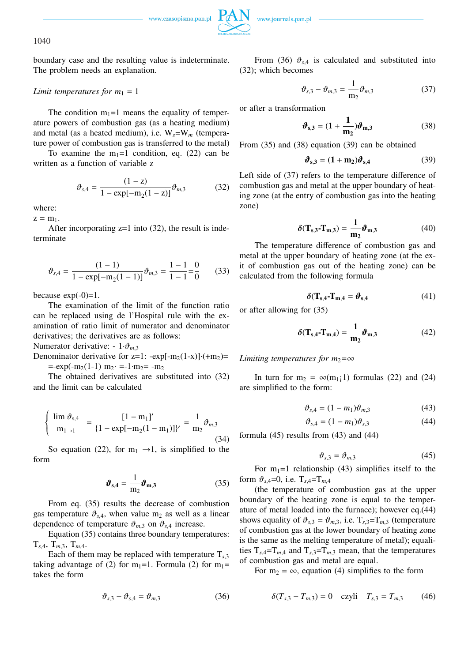

1040

boundary case and the resulting value is indeterminate. The problem needs an explanation.

## *Limit temperatures for*  $m_1 = 1$

The condition  $m_1=1$  means the equality of temperature powers of combustion gas (as a heating medium) and metal (as a heated medium), i.e. W*s*=W*<sup>m</sup>* (temperature power of combustion gas is transferred to the metal)

To examine the  $m_1=1$  condition, eq. (22) can be written as a function of variable z

$$
\vartheta_{s,4} = \frac{(1-z)}{1 - \exp[-m_2(1-z)]} \vartheta_{m,3} \tag{32}
$$

where:

 $z = m_1$ .

After incorporating  $z=1$  into (32), the result is indeterminate

$$
\vartheta_{s,4} = \frac{(1-1)}{1 - \exp[-\mathbf{m}_2(1-1)]} \vartheta_{m,3} = \frac{1-1}{1-1} = \frac{0}{0}
$$
 (33)

because  $exp(-0)=1$ .

The examination of the limit of the function ratio can be replaced using de l'Hospital rule with the examination of ratio limit of numerator and denominator derivatives; the derivatives are as follows:

Numerator derivative:  $-1 \cdot \vartheta_{m,3}$ 

Denominator derivative for  $z=1$ : -exp[-m<sub>2</sub>(1-x)]·(+m<sub>2</sub>)=  $=$ - $\exp(-m_2(1-1)$   $m_2$   $=$   $-1 \cdot m_2$   $=$   $-m_2$ 

The obtained derivatives are substituted into (32) and the limit can be calculated

$$
\begin{cases} \n\lim \vartheta_{s,4} = \frac{[1 - m_1]'}{[1 - \exp[-m_2(1 - m_1)]'} = \frac{1}{m_2} \vartheta_{m,3} \\
(34)\n\end{cases}
$$

So equation (22), for  $m_1 \rightarrow 1$ , is simplified to the form

$$
\boldsymbol{\vartheta}_{s,4} = \frac{1}{m_2} \boldsymbol{\vartheta}_{m,3} \tag{35}
$$

From eq. (35) results the decrease of combustion gas temperature  $\vartheta_{s,4}$ , when value m<sub>2</sub> as well as a linear dependence of temperature  $\vartheta_{m,3}$  on  $\vartheta_{s,4}$  increase.

Equation (35) contains three boundary temperatures:  $T_{s,4}$ ,  $T_{m,3}$ ,  $T_{m,4}$ .

Each of them may be replaced with temperature  $T_{s,3}$ taking advantage of (2) for m<sub>1</sub>=1. Formula (2) for m<sub>1</sub>= takes the form

$$
\vartheta_{s,3} - \vartheta_{s,4} = \vartheta_{m,3} \tag{36}
$$

From (36)  $\vartheta_{s,4}$  is calculated and substituted into (32); which becomes

$$
\vartheta_{s,3} - \vartheta_{m,3} = \frac{1}{m_2} \vartheta_{m,3} \tag{37}
$$

or after a transformation

$$
\boldsymbol{\vartheta}_{s,3} = (1 + \frac{1}{m_2}) \boldsymbol{\vartheta}_{m,3} \tag{38}
$$

From (35) and (38) equation (39) can be obtained

$$
\boldsymbol{\vartheta}_{s,3} = (1 + m_2)\boldsymbol{\vartheta}_{s,4} \tag{39}
$$

Left side of (37) refers to the temperature difference of combustion gas and metal at the upper boundary of heating zone (at the entry of combustion gas into the heating zone)

$$
\delta(\mathbf{T}_{\mathbf{s},\mathbf{3}} \cdot \mathbf{T}_{\mathbf{m},\mathbf{3}}) = \frac{1}{\mathbf{m}_2} \boldsymbol{\vartheta}_{\mathbf{m},\mathbf{3}} \tag{40}
$$

The temperature difference of combustion gas and metal at the upper boundary of heating zone (at the exit of combustion gas out of the heating zone) can be calculated from the following formula

$$
\delta(\mathbf{T}_{s,4}\mathbf{-}\mathbf{T}_{m,4}=\boldsymbol{\vartheta}_{s,4})\tag{41}
$$

or after allowing for (35)

$$
\delta(\mathbf{T}_{s,4}\cdot\mathbf{T}_{m,4}) = \frac{1}{m_2}\boldsymbol{\vartheta}_{m,3} \tag{42}
$$

### *Limiting temperatures for m*<sub>2</sub> $=\infty$

In turn for  $m_2 = \infty(m_1;1)$  formulas (22) and (24) are simplified to the form:

$$
\vartheta_{s,4} = (1 - m_1)\vartheta_{m,3} \tag{43}
$$

$$
\vartheta_{s,4} = (1 - m_1)\vartheta_{s,3} \tag{44}
$$

formula  $(45)$  results from  $(43)$  and  $(44)$ 

$$
\vartheta_{s,3} = \vartheta_{m,3} \tag{45}
$$

For  $m_1=1$  relationship (43) simplifies itself to the form  $\vartheta_{s,4}=0$ , i.e.  $T_{s,4}=T_{m,4}$ 

(the temperature of combustion gas at the upper boundary of the heating zone is equal to the temperature of metal loaded into the furnace); however eq.(44) shows equality of  $\vartheta_{s,3} = \vartheta_{m,3}$ , i.e.  $T_{s,3}=T_{m,3}$  (temperature of combustion gas at the lower boundary of heating zone is the same as the melting temperature of metal); equalities  $T_{s,4}=T_{m,4}$  and  $T_{s,3}=T_{m,3}$  mean, that the temperatures of combustion gas and metal are equal.

For  $m_2 = \infty$ , equation (4) simplifies to the form

$$
\delta(T_{s,3} - T_{m,3}) = 0 \quad \text{czyli} \quad T_{s,3} = T_{m,3} \tag{46}
$$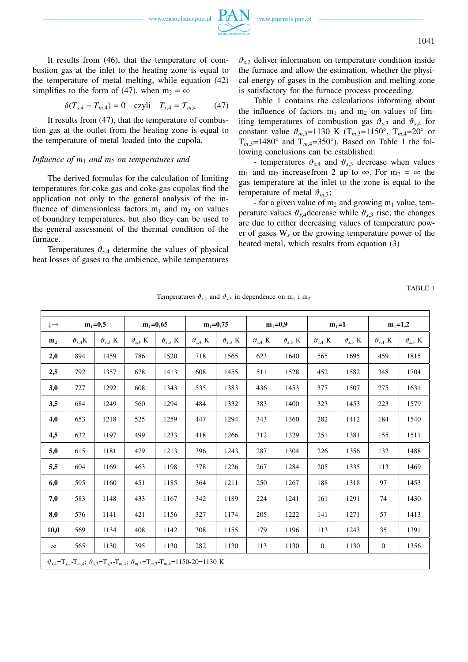It results from (46), that the temperature of combustion gas at the inlet to the heating zone is equal to the temperature of metal melting, while equation (42) simplifies to the form of (47), when  $m_2 = \infty$ 

$$
\delta(T_{s,4} - T_{m,4}) = 0 \quad \text{czyli} \quad T_{s,4} = T_{m,4} \tag{47}
$$

It results from (47), that the temperature of combustion gas at the outlet from the heating zone is equal to the temperature of metal loaded into the cupola.

### *Influence of*  $m_1$  *and*  $m_2$  *on temperatures and*

The derived formulas for the calculation of limiting temperatures for coke gas and coke-gas cupolas find the application not only to the general analysis of the influence of dimensionless factors  $m_1$  and  $m_2$  on values of boundary temperatures, but also they can be used to the general assessment of the thermal condition of the furnace.

Temperatures  $\vartheta_{s,4}$  determine the values of physical heat losses of gases to the ambience, while temperatures  $\vartheta_{s,3}$  deliver information on temperature condition inside the furnace and allow the estimation, whether the physical energy of gases in the combustion and melting zone is satisfactory for the furnace process proceeding.

Table 1 contains the calculations informing about the influence of factors  $m_1$  and  $m_2$  on values of limiting temperatures of combustion gas  $\vartheta_{s,3}$  and  $\vartheta_{s,4}$  for constant value  $\vartheta_{m,3} = 1130 \text{ K } (T_{m,3} = 1150^{\circ}, T_{m,4} = 20^{\circ} \text{ or }$  $T_{m,3}=1480^\circ$  and  $T_{m,4}=350^\circ$ ). Based on Table 1 the following conclusions can be established:

- temperatures  $\vartheta_{s,4}$  and  $\vartheta_{s,3}$  decrease when values m<sub>1</sub> and m<sub>2</sub> increasefrom 2 up to  $\infty$ . For m<sub>2</sub> =  $\infty$  the gas temperature at the inlet to the zone is equal to the temperature of metal  $\vartheta_{m,3}$ ;

- for a given value of  $m_2$  and growing  $m_1$  value, temperature values  $\vartheta_{s,4}$  decrease while  $\vartheta_{s,3}$  rise; the changes are due to either decreasing values of temperature power of gases W*<sup>s</sup>* or the growing temperature power of the heated metal, which results from equation (3)

TABLE 1

| $\downarrow \rightarrow$                                                                                                                   | $m_1 = 0,5$         |                     | $m_1 = 0,65$        |                              | $m_1 = 0,75$        |                     | $m_1=0,9$           |                     | $m_1 = 1$           |                     | $m_1 = 1,2$         |                     |
|--------------------------------------------------------------------------------------------------------------------------------------------|---------------------|---------------------|---------------------|------------------------------|---------------------|---------------------|---------------------|---------------------|---------------------|---------------------|---------------------|---------------------|
| $\mathbf{m}_2$                                                                                                                             | $\vartheta_{s,4}$ K | $\vartheta_{s,3}$ K | $\vartheta_{s,4}$ K | $\vartheta$ <sub>s.3</sub> K | $\vartheta_{s,4}$ K | $\vartheta_{s,3}$ K | $\vartheta_{s,4}$ K | $\vartheta_{s,3}$ K | $\vartheta_{s,4}$ K | $\vartheta_{s,3}$ K | $\vartheta_{s,4}$ K | $\vartheta_{s,3}$ K |
| 2,0                                                                                                                                        | 894                 | 1459                | 786                 | 1520                         | 718                 | 1565                | 623                 | 1640                | 565                 | 1695                | 459                 | 1815                |
| 2,5                                                                                                                                        | 792                 | 1357                | 678                 | 1413                         | 608                 | 1455                | 511                 | 1528                | 452                 | 1582                | 348                 | 1704                |
| 3,0                                                                                                                                        | 727                 | 1292                | 608                 | 1343                         | 535                 | 1383                | 436                 | 1453                | 377                 | 1507                | 275                 | 1631                |
| 3,5                                                                                                                                        | 684                 | 1249                | 560                 | 1294                         | 484                 | 1332                | 383                 | 1400                | 323                 | 1453                | 223                 | 1579                |
| 4,0                                                                                                                                        | 653                 | 1218                | 525                 | 1259                         | 447                 | 1294                | 343                 | 1360                | 282                 | 1412                | 184                 | 1540                |
| 4,5                                                                                                                                        | 632                 | 1197                | 499                 | 1233                         | 418                 | 1266                | 312                 | 1329                | 251                 | 1381                | 155                 | 1511                |
| 5,0                                                                                                                                        | 615                 | 1181                | 479                 | 1213                         | 396                 | 1243                | 287                 | 1304                | 226                 | 1356                | 132                 | 1488                |
| 5,5                                                                                                                                        | 604                 | 1169                | 463                 | 1198                         | 378                 | 1226                | 267                 | 1284                | 205                 | 1335                | 113                 | 1469                |
| 6,0                                                                                                                                        | 595                 | 1160                | 451                 | 1185                         | 364                 | 1211                | 250                 | 1267                | 188                 | 1318                | 97                  | 1453                |
| 7,0                                                                                                                                        | 583                 | 1148                | 433                 | 1167                         | 342                 | 1189                | 224                 | 1241                | 161                 | 1291                | 74                  | 1430                |
| 8,0                                                                                                                                        | 576                 | 1141                | 421                 | 1156                         | 327                 | 1174                | 205                 | 1222                | 141                 | 1271                | 57                  | 1413                |
| 10,0                                                                                                                                       | 569                 | 1134                | 408                 | 1142                         | 308                 | 1155                | 179                 | 1196                | 113                 | 1243                | 35                  | 1391                |
| $\infty$                                                                                                                                   | 565                 | 1130                | 395                 | 1130                         | 282                 | 1130                | 113                 | 1130                | $\mathbf{0}$        | 1130                | $\mathbf{0}$        | 1356                |
| $\vartheta_{s,4} = T_{s,4} - T_{m,4}$ ; $\vartheta_{s,3} = T_{s,3} - T_{m,4}$ ; $\vartheta_{m,3} = T_{m,3} - T_{m,4} = 1150 - 20 = 1130$ K |                     |                     |                     |                              |                     |                     |                     |                     |                     |                     |                     |                     |

Temperatures  $\vartheta_{s,4}$  and  $\vartheta_{s,3}$  in dependence on m<sub>1</sub> i m<sub>2</sub>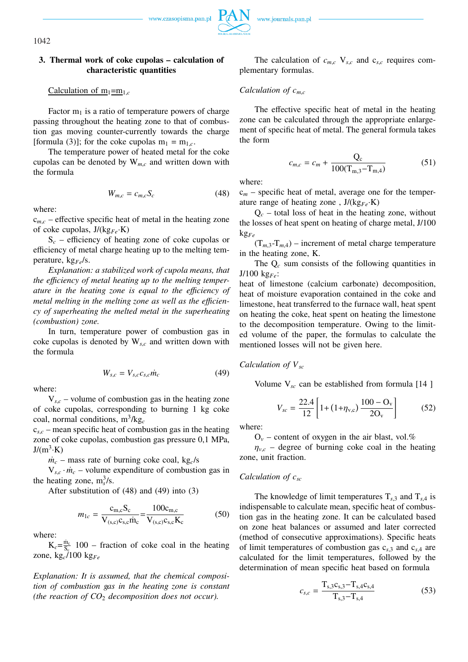1042

## **3. Thermal work of coke cupolas – calculation of characteristic quantities**

Calculation of  $m_1 = m_1$ <sub>c</sub>

Factor  $m_1$  is a ratio of temperature powers of charge passing throughout the heating zone to that of combustion gas moving counter-currently towards the charge [formula (3)]; for the coke cupolas  $m_1 = m_{1,c}$ .

The temperature power of heated metal for the coke cupolas can be denoted by W*m*,*<sup>c</sup>* and written down with the formula

$$
W_{m,c} = c_{m,c} S_c \tag{48}
$$

where:

 $c_{m,c}$  – effective specific heat of metal in the heating zone of coke cupolas, J/(kg*Fe*·K)

 $S_c$  – efficiency of heating zone of coke cupolas or efficiency of metal charge heating up to the melting temperature, kg*Fe*/s.

*Explanation: a stabilized work of cupola means, that the efficiency of metal heating up to the melting temperature in the heating zone is equal to the efficiency of metal melting in the melting zone as well as the efficiency of superheating the melted metal in the superheating (combustion) zone.*

In turn, temperature power of combustion gas in coke cupolas is denoted by W*s*,*<sup>c</sup>* and written down with the formula

$$
W_{s,c} = V_{s,c} c_{s,c} \dot{m}_c \tag{49}
$$

where:

 $V_{s,c}$  – volume of combustion gas in the heating zone of coke cupolas, corresponding to burning 1 kg coke coal, normal conditions, m<sup>3</sup> /kg*<sup>c</sup>*

 $c_{s,c}$  – mean specific heat of combustion gas in the heating zone of coke cupolas, combustion gas pressure 0,1 MPa,  $J/(m^3 \cdot K)$ 

 $\dot{m}_c$  – mass rate of burning coke coal, kg<sub>c</sub>/s

 $V_{s,c} \cdot \dot{m}_c$  – volume expenditure of combustion gas in the heating zone,  $m_s^3/s$ .

After substitution of (48) and (49) into (3)

$$
m_{1c} = \frac{\mathrm{c}_{\mathrm{m,c}} \mathrm{S}_{\mathrm{c}}}{\mathrm{V}_{\mathrm{(s,c)}} \mathrm{c}_{\mathrm{s,c}} \dot{\mathrm{m}}_{\mathrm{c}}} = \frac{100 \mathrm{c}_{\mathrm{m,c}}}{\mathrm{V}_{\mathrm{(s,c)}} \mathrm{c}_{\mathrm{s,c}} \mathrm{K}_{\mathrm{c}}}
$$
(50)

where:

 $K_c = \frac{\dot{m}_c}{S_c}$  $\frac{m_c}{S_s}$  100 – fraction of coke coal in the heating zone, kg*c*/100 kg*Fe*

*Explanation: It is assumed, that the chemical composition of combustion gas in the heating zone is constant (the reaction of CO*<sup>2</sup> *decomposition does not occur).*

The calculation of  $c_{m,c}$ ,  $V_{s,c}$  and  $c_{s,c}$  requires complementary formulas.

## *Calculation of cm*,*<sup>c</sup>*

The effective specific heat of metal in the heating zone can be calculated through the appropriate enlargement of specific heat of metal. The general formula takes the form

$$
c_{m,c} = c_m + \frac{Q_c}{100(T_{m,3} - T_{m,4})}
$$
(51)

where:

c*<sup>m</sup>* – specific heat of metal, average one for the temperature range of heating zone , J/(kg*Fe*·K)

 $Q_c$  – total loss of heat in the heating zone, without the losses of heat spent on heating of charge metal, J/100 kg*Fe*

 $(T_{m,3}-T_{m,4})$  – increment of metal charge temperature in the heating zone, K.

The Q*<sup>c</sup>* sum consists of the following quantities in J/100 kg*Fe*:

heat of limestone (calcium carbonate) decomposition, heat of moisture evaporation contained in the coke and limestone, heat transferred to the furnace wall, heat spent on heating the coke, heat spent on heating the limestone to the decomposition temperature. Owing to the limited volume of the paper, the formulas to calculate the mentioned losses will not be given here.

## *Calculation of Vsc*

Volume V*sc* can be established from formula [14 ]

$$
V_{sc} = \frac{22.4}{12} \left[ 1 + (1 + \eta_{v,c}) \frac{100 - O_v}{2O_v} \right]
$$
 (52)

where:

 $O_v$  – content of oxygen in the air blast, vol.%

 $\eta_{v,c}$  – degree of burning coke coal in the heating zone, unit fraction.

## *Calculation of csc*

The knowledge of limit temperatures  $T_{s,3}$  and  $T_{s,4}$  is indispensable to calculate mean, specific heat of combustion gas in the heating zone. It can be calculated based on zone heat balances or assumed and later corrected (method of consecutive approximations). Specific heats of limit temperatures of combustion gas c*s*,<sup>3</sup> and c*s*,<sup>4</sup> are calculated for the limit temperatures, followed by the determination of mean specific heat based on formula

$$
c_{s,c} = \frac{\mathbf{T}_{s,3} \mathbf{c}_{s,3} - \mathbf{T}_{s,4} \mathbf{c}_{s,4}}{\mathbf{T}_{s,3} - \mathbf{T}_{s,4}}
$$
(53)

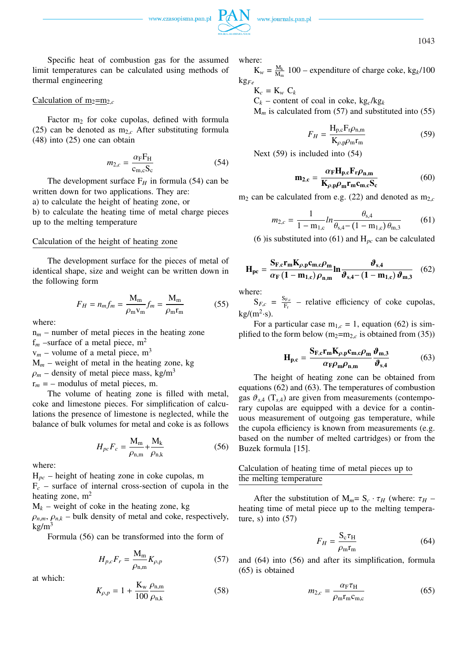

1043

Specific heat of combustion gas for the assumed limit temperatures can be calculated using methods of thermal engineering

## Calculation of  $m_2 = m_2$

Factor  $m_2$  for coke cupolas, defined with formula (25) can be denoted as  $m_{2,c}$  After substituting formula (48) into (25) one can obtain

$$
m_{2,c} = \frac{\alpha_{\rm F} F_{\rm H}}{c_{\rm m,c} S_{\rm c}}\tag{54}
$$

The development surface  $F_H$  in formula (54) can be written down for two applications. They are: a) to calculate the height of heating zone, or

b) to calculate the heating time of metal charge pieces up to the melting temperature

### Calculation of the height of heating zone

The development surface for the pieces of metal of identical shape, size and weight can be written down in the following form

$$
F_H = n_m f_m = \frac{M_m}{\rho_m v_m} f_m = \frac{M_m}{\rho_m r_m} \tag{55}
$$

where:

 $n_m$  – number of metal pieces in the heating zone

 $f_m$  –surface of a metal piece,  $m^2$ 

 $v_m$  – volume of a metal piece,  $m^3$ 

 $M_m$  – weight of metal in the heating zone, kg

 $\rho_m$  – density of metal piece mass, kg/m<sup>3</sup>

 $r_m = -$  modulus of metal pieces, m.

The volume of heating zone is filled with metal, coke and limestone pieces. For simplification of calculations the presence of limestone is neglected, while the balance of bulk volumes for metal and coke is as follows

$$
H_{pc}F_c = \frac{M_m}{\rho_{n,m}} + \frac{M_k}{\rho_{n,k}}
$$
(56)

where:

H*pc* – height of heating zone in coke cupolas, m  $F_c$  – surface of internal cross-section of cupola in the heating zone,  $m<sup>2</sup>$ 

 $M_k$  – weight of coke in the heating zone, kg

 $\rho_{n,m}$ ,  $\rho_{n,k}$  – bulk density of metal and coke, respectively,  $kg/m<sup>3</sup>$ 

Formula (56) can be transformed into the form of

$$
H_{p,c}F_r = \frac{M_m}{\rho_{n,m}}K_{\rho,p} \tag{57}
$$

at which:

$$
K_{\rho,p} = 1 + \frac{\mathbf{K}_{\rm w} \, \rho_{\rm n,m}}{100 \, \rho_{\rm n,k}} \tag{58}
$$

where:

 $K_w = \frac{M_k}{M_w}$  $\frac{M_k}{M_m}$  100 – expenditure of charge coke, kg<sub>k</sub>/100 kg*Fe*

 $K_c = K_w C_k$  $C_k$  – content of coal in coke, kg<sub>c</sub>/kg<sub>k</sub>

 $M<sub>m</sub>$  is calculated from (57) and substituted into (55)

$$
F_H = \frac{H_{p,c}F_r\rho_{n,m}}{K_{\rho,p}\rho_m r_m}
$$
(59)

Next (59) is included into (54)

$$
\mathbf{m}_{2,c} = \frac{\alpha_{\text{F}} \mathbf{H}_{\text{p,c}} \mathbf{F}_{\text{r}} \rho_{\text{n,m}}}{\mathbf{K}_{\rho,\text{p}} \rho_{\text{m}} \mathbf{r}_{\text{m}} \mathbf{c}_{\text{m,c}} \mathbf{S}_{\text{c}}}
$$
(60)

 $m_2$  can be calculated from e.g. (22) and denoted as  $m_{2,c}$ 

$$
m_{2,c} = \frac{1}{1 - m_{1,c}} \ln \frac{\theta_{\text{s},4}}{\theta_{\text{s},4} - (1 - m_{1,c}) \theta_{\text{m},3}} \tag{61}
$$

(6) is substituted into (61) and  $H_{pc}$  can be calculated

$$
\mathbf{H}_{\text{pc}} = \frac{\mathbf{S}_{\text{F,c}} \mathbf{r}_{\text{m}} \mathbf{K}_{\rho,\text{p}} \mathbf{c}_{\text{m,c}} \rho_{\text{m}}}{\alpha_{\text{F}} \left(1 - \mathbf{m}_{1,\text{c}}\right) \rho_{\text{n,m}}} \mathbf{ln} \frac{\boldsymbol{\vartheta}_{\text{s,4}}}{\boldsymbol{\vartheta}_{\text{s,4}} - \left(1 - \mathbf{m}_{1,\text{c}}\right) \boldsymbol{\vartheta}_{\text{m,3}}} \quad (62)
$$

where:

 $S_{F,c} = \frac{S_{F,c}}{F_c}$  $\frac{\text{F}_{\text{F},c}}{\text{F}_{\text{F}}}$  – relative efficiency of coke cupolas,  $kg/(m^2 \cdot s)$ .

For a particular case  $m_{1,c} = 1$ , equation (62) is simplified to the form below  $(m_2=m_{2,c}$  is obtained from (35))

$$
\mathbf{H}_{\mathbf{p},\mathbf{c}} = \frac{\mathbf{S}_{\mathbf{F},\mathbf{c}} \mathbf{r}_{\mathbf{m}} \mathbf{K}_{\rho,\mathbf{p}} \mathbf{c}_{\mathbf{m},\mathbf{c}} \rho_{\mathbf{m}}}{\alpha_{\mathbf{F}} \rho_{\mathbf{m}} \rho_{\mathbf{n},\mathbf{m}}} \frac{\boldsymbol{\vartheta}_{\mathbf{m},\mathbf{3}}}{\boldsymbol{\vartheta}_{\mathbf{s},\mathbf{4}}} \tag{63}
$$

The height of heating zone can be obtained from equations (62) and (63). The temperatures of combustion gas  $\vartheta_{s,4}$  (T<sub>s,4</sub>) are given from measurements (contemporary cupolas are equipped with a device for a continuous measurement of outgoing gas temperature, while the cupola efficiency is known from measurements (e.g. based on the number of melted cartridges) or from the Buzek formula [15].

# Calculation of heating time of metal pieces up to the melting temperature

After the substitution of  $M_m = S_c \cdot \tau_H$  (where:  $\tau_H$  – heating time of metal piece up to the melting temperature,  $s)$  into  $(57)$ 

$$
F_H = \frac{S_c \tau_H}{\rho_m r_m} \tag{64}
$$

and (64) into (56) and after its simplification, formula (65) is obtained

$$
m_{2,c} = \frac{\alpha_{\rm F} \tau_{\rm H}}{\rho_{\rm m} r_{\rm m} c_{\rm m,c}}\tag{65}
$$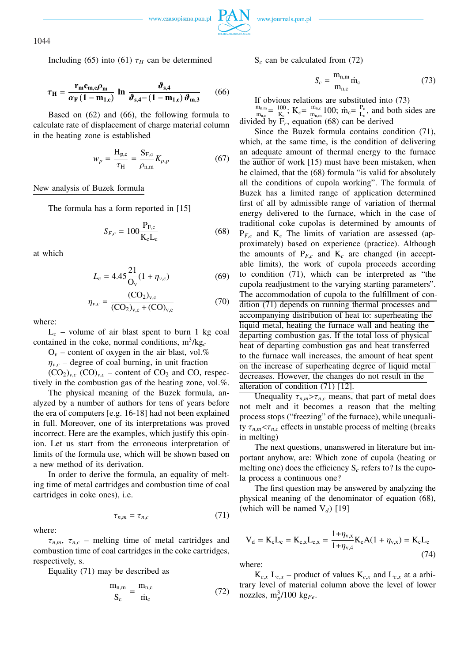

1044

Including (65) into (61)  $\tau_H$  can be determined

$$
\tau_{\rm H} = \frac{\mathbf{r}_{\rm m} \mathbf{c}_{\rm m,c} \rho_{\rm m}}{\alpha_{\rm F} \left(1 - \mathbf{m}_{1,c}\right)} \ln \frac{\boldsymbol{\vartheta}_{\rm s,4}}{\boldsymbol{\vartheta}_{\rm s,4} - \left(1 - \mathbf{m}_{1,c}\right) \boldsymbol{\vartheta}_{\rm m,3}} \qquad (66)
$$

Based on (62) and (66), the following formula to calculate rate of displacement of charge material column in the heating zone is established

$$
w_p = \frac{H_{p,c}}{\tau_H} = \frac{S_{F,c}}{\rho_{n,m}} K_{\rho,p}
$$
 (67)

New analysis of Buzek formula

The formula has a form reported in [15]

$$
S_{F,c} = 100 \frac{P_{F,c}}{K_c L_c}
$$
 (68)

at which

$$
L_c = 4.45 \frac{21}{\text{O}_v} (1 + \eta_{v,c}) \tag{69}
$$

$$
\eta_{v,c} = \frac{(CO_2)_{v,c}}{(CO_2)_{v,c} + (CO)_{v,c}}
$$
(70)

where:

 $L_c$  – volume of air blast spent to burn 1 kg coal contained in the coke, normal conditions,  $m^3/kg_c$ 

 $O_v$  – content of oxygen in the air blast, vol.%

 $\eta_{v,c}$  – degree of coal burning, in unit fraction

 $(CO_2)_{v,c}$   $(CO)_{v,c}$  – content of  $CO_2$  and CO, respectively in the combustion gas of the heating zone, vol.%.

The physical meaning of the Buzek formula, analyzed by a number of authors for tens of years before the era of computers [e.g. 16-18] had not been explained in full. Moreover, one of its interpretations was proved incorrect. Here are the examples, which justify this opinion. Let us start from the erroneous interpretation of limits of the formula use, which will be shown based on a new method of its derivation.

In order to derive the formula, an equality of melting time of metal cartridges and combustion time of coal cartridges in coke ones), i.e.

$$
\tau_{n,m} = \tau_{n,c} \tag{71}
$$

where:

 $\tau_{n,m}$ ,  $\tau_{n,c}$  – melting time of metal cartridges and combustion time of coal cartridges in the coke cartridges, respectively, s.

Equality (71) may be described as

$$
\frac{m_{n,m}}{S_c} = \frac{m_{n,c}}{\dot{m}_c} \tag{72}
$$

S*<sup>c</sup>* can be calculated from (72)

$$
S_c = \frac{m_{n,m}}{m_{n,c}} \dot{m}_c \tag{73}
$$

If obvious relations are substituted into (73)

 $m_{n,m}$  $\frac{m_{n,m}}{m_{n,c}} = \frac{100}{K_c}$  $\frac{100}{K_c}$ ;  $K_c = \frac{m_{n,c}}{m_{n,m}}$  $\frac{m_{n,c}}{m_{n,m}}$ 100;  $\dot{m}_c = \frac{P_c}{L_c}$  $\frac{P_c}{L_c}$ , and both sides are divided by  $F_r$ , equation (68) can be derived

Since the Buzek formula contains condition (71), which, at the same time, is the condition of delivering an adequate amount of thermal energy to the furnace the author of work [15) must have been mistaken, when he claimed, that the (68) formula "is valid for absolutely all the conditions of cupola working". The formula of Buzek has a limited range of application determined first of all by admissible range of variation of thermal energy delivered to the furnace, which in the case of traditional coke cupolas is determined by amounts of  $P_{F,c}$  and  $K_c$  The limits of variation are assessed (approximately) based on experience (practice). Although the amounts of  $P_{F,c}$  and  $K_c$  are changed (in acceptable limits), the work of cupola proceeds according to condition (71), which can be interpreted as "the cupola readjustment to the varying starting parameters". The accommodation of cupola to the fulfillment of condition (71) depends on running thermal processes and accompanying distribution of heat to: superheating the liquid metal, heating the furnace wall and heating the departing combustion gas. If the total loss of physical heat of departing combustion gas and heat transferred to the furnace wall increases, the amount of heat spent on the increase of superheating degree of liquid metal decreases. However, the changes do not result in the alteration of condition (71) [12].

Unequality  $\tau_{n,m} > \tau_{n,c}$  means, that part of metal does not melt and it becomes a reason that the melting process stops ("freezing" of the furnace), while unequality  $\tau_{n,m}$  <  $\tau_{n,c}$  effects in unstable process of melting (breaks in melting)

The next questions, unanswered in literature but important anyhow, are: Which zone of cupola (heating or melting one) does the efficiency  $S_c$  refers to? Is the cupola process a continuous one?

The first question may be answered by analyzing the physical meaning of the denominator of equation (68), (which will be named  $V_d$ ) [19]

$$
V_d = K_c L_c = K_{c,x} L_{c,x} = \frac{1 + \eta_{v,x}}{1 + \eta_{v,4}} K_c A (1 + \eta_{v,x}) = K_c L_c
$$
\n(74)

where:

 $K_{c,x}$   $L_{c,x}$  – product of values  $K_{c,x}$  and  $L_{c,x}$  at a arbitrary level of material column above the level of lower nozzles,  $m_p^3/100$  kg<sub>Fe</sub>.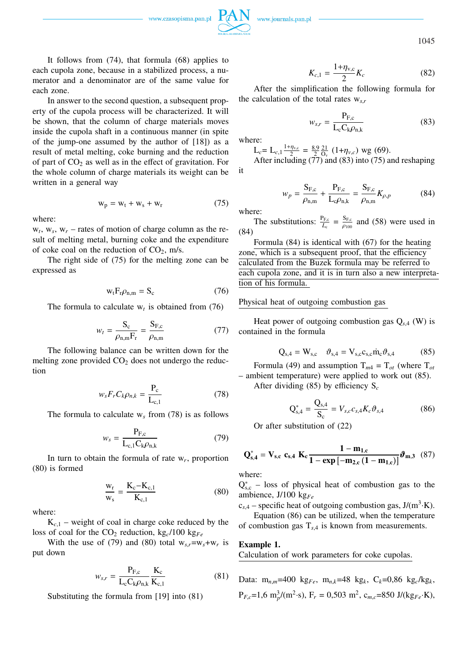$1+n$ 

1045

It follows from (74), that formula (68) applies to each cupola zone, because in a stabilized process, a numerator and a denominator are of the same value for each zone.

In answer to the second question, a subsequent property of the cupola process will be characterized. It will be shown, that the column of charge materials moves inside the cupola shaft in a continuous manner (in spite of the jump-one assumed by the author of [18]) as a result of metal melting, coke burning and the reduction of part of  $CO<sub>2</sub>$  as well as in the effect of gravitation. For the whole column of charge materials its weight can be written in a general way

$$
w_p = w_t + w_s + w_r \tag{75}
$$

where:

 $w_t$ ,  $w_s$ ,  $w_r$  – rates of motion of charge column as the result of melting metal, burning coke and the expenditure of coke coal on the reduction of  $CO<sub>2</sub>$ , m/s.

The right side of (75) for the melting zone can be expressed as

$$
w_t F_r \rho_{n,m} = S_c \tag{76}
$$

The formula to calculate  $w_t$  is obtained from (76)

$$
w_t = \frac{S_c}{\rho_{n,m} F_r} = \frac{S_{F,c}}{\rho_{n,m}}
$$
(77)

The following balance can be written down for the melting zone provided  $CO<sub>2</sub>$  does not undergo the reduction

$$
w_{s}F_{r}C_{k}\rho_{n,k} = \frac{P_{c}}{L_{c,1}}
$$
 (78)

The formula to calculate  $w_s$  from (78) is as follows

$$
w_s = \frac{P_{F,c}}{L_{c,1}C_k \rho_{n,k}}
$$
(79)

In turn to obtain the formula of rate w*<sup>r</sup>* , proportion (80) is formed

$$
\frac{w_r}{w_s} = \frac{K_c - K_{c,1}}{K_{c,1}}
$$
 (80)

where:

 $K_{c,1}$  – weight of coal in charge coke reduced by the loss of coal for the  $CO_2$  reduction, kg<sub>c</sub>/100 kg<sub>Fe</sub>

With the use of (79) and (80) total  $w_{s,r} = w_s + w_r$  is put down

$$
w_{s,r} = \frac{P_{F,c}}{L_c C_k \rho_{n,k}} \frac{K_c}{K_{c,1}}
$$
(81)

Substituting the formula from [19] into (81)

$$
K_{c,1} = \frac{1 + \eta_{v,c}}{2} K_c
$$
 (82)

After the simplification the following formula for the calculation of the total rates w*s*,*<sup>r</sup>*

$$
w_{s,r} = \frac{P_{F,c}}{L_c C_k \rho_{n,k}}
$$
(83)

where:

$$
L_c = L_{c,1} \frac{1 + \eta_{v,c}}{2} = \frac{8.9}{2} \frac{21}{\Omega_v} (1 + \eta_{v,c}) \text{wg (69)}.
$$
  
After including (77) and (83) into (75) and reshaping

it

$$
w_p = \frac{S_{F,c}}{\rho_{n,m}} + \frac{P_{F,c}}{L_c \rho_{n,k}} = \frac{S_{F,c}}{\rho_{n,m}} K_{\rho,p}
$$
(84)

where:

The substitutions:  $\frac{P_{F,c}}{L_c} = \frac{S_{F,c}}{\rho_{100}}$  $\frac{\delta F_{\text{R}}}{\rho_{100}}$  and (58) were used in (84)

Formula (84) is identical with (67) for the heating zone, which is a subsequent proof, that the efficiency calculated from the Buzek formula may be referred to each cupola zone, and it is in turn also a new interpretation of his formula.

## Physical heat of outgoing combustion gas

Heat power of outgoing combustion gas  $Q_{s,4}$  (W) is contained in the formula

$$
Q_{s,4} = W_{s,c} \quad \vartheta_{s,4} = V_{s,c} c_{s,c} \dot{m}_c \vartheta_{s,4} \tag{85}
$$

Formula (49) and assumption  $T_{m4} = T_{at}$  (where  $T_{at}$ – ambient temperature) were applied to work out (85).

After dividing (85) by efficiency S*<sup>c</sup>*

$$
Q_{s,4}^* = \frac{Q_{s,4}}{S_c} = V_{s,c} c_{s,4} K_c \vartheta_{s,4}
$$
 (86)

Or after substitution of (22)

$$
Q_{s,4}^{*} = V_{s,c} c_{s,4} K_c \frac{1 - m_{1,c}}{1 - exp[-m_{2,c}(1 - m_{1,c})]} \vartheta_{m,3} (87)
$$

where:

 $Q_{s,c}^{*}$  – loss of physical heat of combustion gas to the ambience, J/100 kg*Fe*

 $c_{s,4}$  – specific heat of outgoing combustion gas,  $J/(m^3 \cdot K)$ .

Equation (86) can be utilized, when the temperature of combustion gas  $T_{s,4}$  is known from measurements.

#### **Example 1.**

Calculation of work parameters for coke cupolas.

Data:  $m_{n,m}=400 \text{ kg}_{Fe}$ ,  $m_{n,k}=48 \text{ kg}_k$ ,  $C_k=0.86 \text{ kg}_c/\text{kg}_k$ ,  $P_{F,c}$ =1,6 m<sub>p</sub><sup>3</sup>/(m<sup>2</sup>·s), F<sub>r</sub> = 0,503 m<sup>2</sup>, c<sub>m,c</sub>=850 J/(kg<sub>Fe</sub>·K),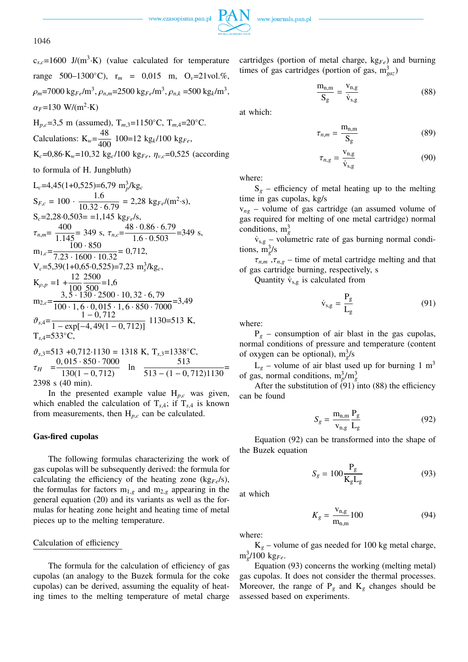

1046

 $c_{s,c}$ =1600 J/(m<sup>3</sup>·K) (value calculated for temperature range 500–1300◦C), r*<sup>m</sup>* = 0,015 m, O*v*=21vol.%,  $\rho_m$ =7000 kg<sub>*Fe</sub>*/m<sup>3</sup>,  $\rho_{n,m}$ =2500 kg<sub>*Fe</sub>*/m<sup>3</sup>,  $\rho_{n,k}$  =500 kg<sub>*k*</sub>/m<sup>3</sup>,</sub></sub>  $\alpha_F = 130 \text{ W/(m}^2 \cdot \text{K})$ H*p*,*c*=3,5 m (assumed), T*m*,3=1150◦C, T*m*,4=20◦C. Calculations:  $K_w = \frac{48}{400}$  $\frac{10}{400}$  100=12 kg<sub>k</sub>/100 kg<sub>Fe</sub>,  $K_c = 0.86 \cdot K_w = 10,32 \text{ kg}_c/100 \text{ kg}_{Fe}, \eta_{v,c} = 0,525 \text{ (according)}$ to formula of H. Jungbluth)  $L_c$ =4,45(1+0,525)=6,79  $m_p^3/kg_c$  $S_{F,c} = 100 \cdot \frac{1.6}{10.33}$  $\frac{1.0}{10.32 \cdot 6.79} = 2,28 \text{ kg}_{Fe} / (\text{m}^2 \cdot \text{s}),$  $S_c = 2,28 \cdot 0,503 = 1,145$  kg<sub>Fe</sub>/s,

 $\tau_{n,m} = \frac{400}{1.145} = 349 \text{ s}, \ \tau_{n,c} = \frac{48 \cdot 0.86 \cdot 6.79}{1.6 \cdot 0.503} = 349 \text{ s},$  $m_{1,c} = \frac{100 \cdot 850}{7.22 \cdot 1600}$  $\frac{100}{7.23 \cdot 1600 \cdot 10.32} = 0,712,$  $V_c = 5,39(1+0,65 \cdot 0,525) = 7,23 \text{ m}_s^3/\text{kg}_c$ *s*  $K_{\rho,p} = 1 + \frac{12}{100}$ 100  $\frac{2500}{500}$ =1,6  $m_{2,c} = \frac{3, 5 \cdot 130 \cdot 2500 \cdot 10, 32 \cdot 6, 79}{100 \cdot 16, 0.015 \cdot 16, 850 \cdot 700}$  $\frac{1}{100 \cdot 1, 6 \cdot 0, 015 \cdot 1, 6 \cdot 850 \cdot 7000} = 3,49$  $\vartheta_{s,4} = \frac{1 - 0,712}{1 - \frac{1}{2}}$  $\frac{1}{1 - \exp[-4, 49(1 - 0, 712)]}$  1130=513 K, T*s*,4=533◦C,

$$
\vartheta_{s,3} = 513 + 0,712 \cdot 1130 = 1318 \text{ K}, T_{s,3} = 1338 \text{ °C},
$$
  
\n
$$
\tau_H = \frac{0,015 \cdot 850 \cdot 7000}{130(1 - 0,712)} \text{ ln } \frac{513}{513 - (1 - 0,712)1130} = 2398 \text{ s } (40 \text{ min}).
$$

In the presented example value  $H_{p,c}$  was given, which enabled the calculation of  $T_{s,4}$ ; if  $T_{s,4}$  is known from measurements, then H*p*,*<sup>c</sup>* can be calculated.

### **Gas-fired cupolas**

The following formulas characterizing the work of gas cupolas will be subsequently derived: the formula for calculating the efficiency of the heating zone  $(\text{kg}_F/\text{s})$ , the formulas for factors  $m_{1,g}$  and  $m_{2,g}$  appearing in the general equation (20) and its variants as well as the formulas for heating zone height and heating time of metal pieces up to the melting temperature.

#### Calculation of efficiency

The formula for the calculation of efficiency of gas cupolas (an analogy to the Buzek formula for the coke cupolas) can be derived, assuming the equality of heating times to the melting temperature of metal charge

cartridges (portion of metal charge, kg*Fe*) and burning times of gas cartridges (portion of gas,  $m_{\text{gaz}}^3$ )

$$
\frac{m_{n,m}}{S_g} = \frac{v_{n,g}}{\dot{v}_{s,g}}\tag{88}
$$

at which:

$$
\tau_{n,m} = \frac{m_{n,m}}{S_g} \tag{89}
$$

$$
\tau_{n,g} = \frac{\mathbf{v}_{n,g}}{\dot{\mathbf{v}}_{s,g}} \tag{90}
$$

where:

 $S_g$  – efficiency of metal heating up to the melting time in gas cupolas, kg/s

v*ng* – volume of gas cartridge (an assumed volume of gas required for melting of one metal cartridge) normal conditions,  $m_g^3$ 

 $\dot{v}_{s,g}$  – volumetric rate of gas burning normal conditions,  $\frac{m_g^3}{s}$ 

 $\tau_{n,m}$ ,  $\tau_{n,g}$  – time of metal cartridge melting and that of gas cartridge burning, respectively, s

Quantity  $\dot{v}_{s,g}$  is calculated from

$$
\dot{v}_{s,g} = \frac{P_g}{L_g} \tag{91}
$$

where:

 $P_g$  – consumption of air blast in the gas cupolas, normal conditions of pressure and temperature (content of oxygen can be optional),  $m_g^3/s$ 

 $L_g$  – volume of air blast used up for burning 1 m<sup>3</sup> of gas, normal conditions,  $m_p^3/m_g^3$ 

After the substitution of  $(91)$  into  $(88)$  the efficiency can be found

$$
S_g = \frac{\mathbf{m}_{\text{n,m}}}{\mathbf{v}_{\text{n,g}}} \frac{\mathbf{P}_g}{\mathbf{L}_g} \tag{92}
$$

Equation (92) can be transformed into the shape of the Buzek equation

$$
S_g = 100 \frac{\mathrm{P_g}}{\mathrm{K_g} \mathrm{L_g}}\tag{93}
$$

at which

$$
K_g = \frac{v_{n,g}}{m_{n,m}} 100
$$
 (94)

where:

 $K_g$  – volume of gas needed for 100 kg metal charge,  $m_g^3$ /100 kg<sub>Fe</sub>.

Equation (93) concerns the working (melting metal) gas cupolas. It does not consider the thermal processes. Moreover, the range of  $P_g$  and  $K_g$  changes should be assessed based on experiments.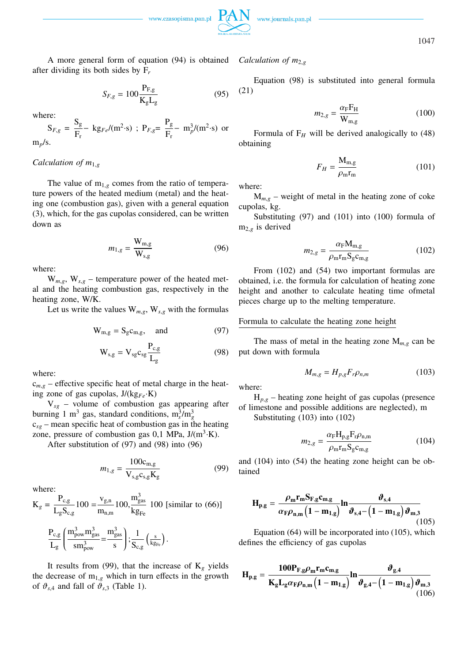

1047

A more general form of equation (94) is obtained after dividing its both sides by F*<sup>r</sup>*

$$
S_{F,g} = 100 \frac{\mathrm{P}_{F,g}}{\mathrm{K_g} \mathrm{L_g}}\tag{95}
$$

where:

$$
S_{F,g} = \frac{S_g}{F_r} - k g_{Fe} / (m^2 \cdot s)
$$
;  $P_{F,g} = \frac{P_g}{F_r} - m_p^3 / (m^2 \cdot s)$  or  $m_p / s$ .

## *Calculation of m*1,*<sup>g</sup>*

The value of  $m_{1,g}$  comes from the ratio of temperature powers of the heated medium (metal) and the heating one (combustion gas), given with a general equation (3), which, for the gas cupolas considered, can be written down as

$$
m_{1,g} = \frac{\mathbf{W}_{\text{m,g}}}{\mathbf{W}_{\text{s,g}}} \tag{96}
$$

where:

 $W_{m,g}$ ,  $W_{s,g}$  – temperature power of the heated metal and the heating combustion gas, respectively in the heating zone, W/K.

Let us write the values  $W_{m,g}$ ,  $W_{s,g}$  with the formulas

$$
W_{m,g} = S_g c_{m,g}, \quad \text{and} \tag{97}
$$

$$
W_{s,g} = V_{sg} c_{sg} \frac{P_{c,g}}{L_g}
$$
 (98)

where:

 $c_{m,g}$  – effective specific heat of metal charge in the heating zone of gas cupolas, J/(kg*Fe*·K)

V*sg* – volume of combustion gas appearing after burning 1 m<sup>3</sup> gas, standard conditions,  $m_s^3/m_g^3$ c*sg* – mean specific heat of combustion gas in the heating zone, pressure of combustion gas  $0,1$  MPa,  $J/(m^3 \cdot K)$ .

After substitution of (97) and (98) into (96)

$$
m_{1,g} = \frac{100c_{\text{m,g}}}{V_{\text{s,g}}c_{\text{s,g}}K_{\text{g}}}
$$
(99)

where:

$$
K_g = \frac{P_{c,g}}{L_g S_{c,g}} 100 = \frac{v_{g,n}}{m_{n,m}} 100, \frac{m_{gas}^3}{kg_{Fe}} 100 \text{ [similar to (66)]}
$$

$$
\frac{P_{c,g}}{L_g}\Bigg(\frac{m_{pow}^3m_{gas}^3}{sm_{pow}^3}\text{=}\frac{m_{gas}^3}{s}\Bigg); \frac{1}{S_{c,g}}\left(\tfrac{s}{kg_{Fe}}\right).
$$

It results from (99), that the increase of  $K_g$  yields the decrease of  $m_{1,g}$  which in turn effects in the growth of  $\vartheta_{s,4}$  and fall of  $\vartheta_{s,3}$  (Table 1).

## *Calculation of m*<sub>2,g</sub>

Equation (98) is substituted into general formula (21)

$$
m_{2,g} = \frac{\alpha_{\rm F} F_{\rm H}}{W_{\rm m,g}}\tag{100}
$$

Formula of  $F_H$  will be derived analogically to (48) obtaining

$$
F_H = \frac{\mathbf{M}_{\text{m,g}}}{\rho_{\text{m}} \mathbf{r}_{\text{m}}} \tag{101}
$$

where:

 $M_{m,g}$  – weight of metal in the heating zone of coke cupolas, kg.

Substituting (97) and (101) into (100) formula of  $m_{2,g}$  is derived

$$
m_{2,g} = \frac{\alpha_{\rm F} M_{\rm m,g}}{\rho_{\rm m} r_{\rm m} S_{\rm g} c_{\rm m,g}}\tag{102}
$$

From (102) and (54) two important formulas are obtained, i.e. the formula for calculation of heating zone height and another to calculate heating time ofmetal pieces charge up to the melting temperature.

#### Formula to calculate the heating zone height

The mass of metal in the heating zone  $M_{m,g}$  can be put down with formula

$$
M_{m,g} = H_{p,g} F_r \rho_{n,m} \tag{103}
$$

where:

 $H_{p,g}$  – heating zone height of gas cupolas (presence of limestone and possible additions are neglected), m

Substituting (103) into (102)

$$
m_{2,g} = \frac{\alpha_{\rm F} H_{\rm p,g} F_{\rm r} \rho_{\rm n,m}}{\rho_{\rm m} r_{\rm m} S_{\rm g} c_{\rm m,g}}\tag{104}
$$

and (104) into (54) the heating zone height can be obtained

$$
\mathbf{H}_{\mathbf{p},\mathbf{g}} = \frac{\rho_{\mathbf{m}} \mathbf{r}_{\mathbf{m}} \mathbf{S}_{\mathbf{F},\mathbf{g}} \mathbf{c}_{\mathbf{m},\mathbf{g}}}{\alpha_{\mathbf{F}} \rho_{\mathbf{n},\mathbf{m}} \left(1 - \mathbf{m}_{1,\mathbf{g}}\right)} \mathbf{ln} \frac{\boldsymbol{\vartheta}_{\mathbf{s},\mathbf{4}}}{\boldsymbol{\vartheta}_{\mathbf{s},\mathbf{4}} - \left(1 - \mathbf{m}_{1,\mathbf{g}}\right) \boldsymbol{\vartheta}_{\mathbf{m},\mathbf{3}}} \tag{105}
$$

Equation (64) will be incorporated into (105), which defines the efficiency of gas cupolas

$$
\mathbf{H}_{p,g} = \frac{100\mathbf{P}_{F,g}\rho_m\mathbf{r}_m\mathbf{c}_{m,g}}{\mathbf{K}_g\mathbf{L}_g\alpha_F\rho_{n,m}\left(1-\mathbf{m}_{1,g}\right)}\mathbf{ln}\frac{\boldsymbol{\vartheta}_{g,4}}{\boldsymbol{\vartheta}_{g,4}-\left(1-\mathbf{m}_{1,g}\right)\boldsymbol{\vartheta}_{m,3}}\tag{106}
$$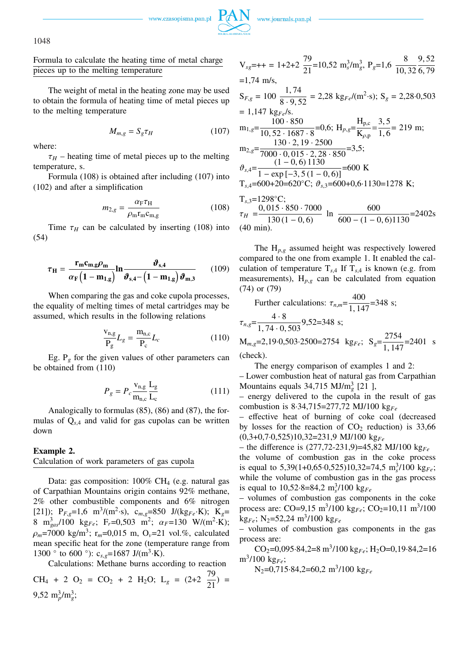

1048

Formula to calculate the heating time of metal charge pieces up to the melting temperature

The weight of metal in the heating zone may be used to obtain the formula of heating time of metal pieces up to the melting temperature

$$
M_{m,g} = S_g \tau_H \tag{107}
$$

where:

 $\tau_H$  – heating time of metal pieces up to the melting temperature, s.

Formula (108) is obtained after including (107) into (102) and after a simplification

$$
m_{2,g} = \frac{\alpha_{\rm F} \tau_{\rm H}}{\rho_{\rm m} \mathbf{r}_{\rm m} \mathbf{c}_{\rm m,g}}\tag{108}
$$

Time  $\tau_H$  can be calculated by inserting (108) into (54)

$$
\tau_{\rm H} = \frac{\mathbf{r}_{\rm m} \mathbf{c}_{\rm m,g} \rho_{\rm m}}{\alpha_{\rm F} \left(1 - \mathbf{m}_{1,\rm g}\right)} \ln \frac{\vartheta_{\rm s,4}}{\vartheta_{\rm s,4} - \left(1 - \mathbf{m}_{1,\rm g}\right) \vartheta_{\rm m,3}} \qquad (109)
$$

When comparing the gas and coke cupola processes, the equality of melting times of metal cartridges may be assumed, which results in the following relations

$$
\frac{V_{n,g}}{P_g}L_g = \frac{m_{n,c}}{P_c}L_c
$$
 (110)

Eg.  $P_g$  for the given values of other parameters can be obtained from (110)

$$
P_g = P_c \frac{v_{n,g}}{m_{n,c}} \frac{L_g}{L_c}
$$
 (111)

Analogically to formulas (85), (86) and (87), the formulas of Q*s*,<sup>4</sup> and valid for gas cupolas can be written down

# **Example 2.**

# Calculation of work parameters of gas cupola

Data: gas composition:  $100\% \text{ CH}_4$  (e.g. natural gas of Carpathian Mountains origin contains 92% methane, 2% other combustible components and 6% nitrogen [21]);  $P_{F,g} = 1.6 \text{ m}^3/(m^2 \cdot \text{s})$ ,  $c_{m,g} = 850 \text{ J/(kg}_{Fe} \cdot \text{K})$ ;  $K_g =$ 8 m<sup>3</sup><sub>gas</sub>/100 kg<sub>Fe</sub>; F<sub>r</sub>=0,503 m<sup>2</sup>;  $\alpha_F$ =130 W/(m<sup>2</sup>·K);  $\rho_m$ =7000 kg/m<sup>3</sup>; r<sub>m</sub>=0,015 m, O<sub>v</sub>=21 vol.%, calculated mean specific heat for the zone (temperature range from 1300  $\degree$  to 600  $\degree$ ): c<sub>s,g</sub>=1687 J/(m<sup>3</sup>·K).

Calculations: Methane burns according to reaction

CH<sub>4</sub> + 2 O<sub>2</sub> = CO<sub>2</sub> + 2 H<sub>2</sub>O; L<sub>g</sub> = (2+2 
$$
\frac{79}{21}
$$
) =  
9,52 m<sub>p</sub><sup>3</sup>/m<sub>g</sub><sup>3</sup>;

$$
V_{sg} = ++ = 1 + 2 + 2 \frac{79}{21} = 10,52 \text{ m}_s^3/\text{m}_g^3, P_g = 1,6 \frac{8}{10,32} \frac{9,52}{6,79}
$$
  
= 1,74 m/s,  

$$
S_{F,g} = 100 \frac{1,74}{8 \cdot 9,52} = 2,28 \text{ kg}_{Fe}/(\text{m}^2 \cdot \text{s}); S_g = 2,28 \cdot 0,503
$$
  
= 1,147 kg<sub>Fe</sub>/s.  

$$
m_{1,g} = \frac{100 \cdot 850}{10,52 \cdot 1687 \cdot 8} = 0,6; H_{p,g} = \frac{H_{p,c}}{K_{p,p}} = \frac{3,5}{1,6} = 219 \text{ m};
$$

$$
m_{2,g} = \frac{130 \cdot 2,19 \cdot 2500}{7000 \cdot 0,015 \cdot 2,28 \cdot 850} = 3,5;
$$

$$
\vartheta_{s,4} = \frac{(1 - 0,6)1130}{1 - \exp[-3,5(1 - 0,6)]} = 600 \text{ K}
$$

$$
T_{s,4} = 600 + 20 = 620^{\circ} \text{C}; \ \vartheta_{s,3} = 600 + 0,6 \cdot 1130 = 1278 \text{ K};
$$

$$
T_{s,3} = 1298^{\circ} \text{C};
$$

$$
\tau_H = \frac{0,015 \cdot 850 \cdot 7000}{130(1 - 0,6)} \text{ ln } \frac{600}{600 - (1 - 0,6)1130} = 2402 \text{s}
$$

(40 min). The H*p*,*<sup>g</sup>* assumed height was respectively lowered compared to the one from example 1. It enabled the calculation of temperature  $T_{s,4}$  If  $T_{s,4}$  is known (e.g. from

measurements), 
$$
H_{p,g}
$$
 can be calculated from equation  
(74) or (79)

Further calculations: 
$$
\tau_{n,m} = \frac{400}{1,147} = 348
$$
 s;

$$
\tau_{n,g} = \frac{4 \cdot 8}{1,74 \cdot 0,503} 9,52 = 348 \text{ s};
$$
  
\n
$$
M_{m,g} = 2,19 \cdot 0,503 \cdot 2500 = 2754 \text{ kg}_{Fe}; \quad S_g = \frac{2754}{1,147} = 2401 \text{ s}
$$

(check).

The energy comparison of examples 1 and 2:

– Lower combustion heat of natural gas from Carpathian Mountains equals  $34,715$  MJ/m<sub>g</sub><sup>2</sup> [21],

– energy delivered to the cupola in the result of gas combustion is 8·34,715=277,72 MJ/100 kg*Fe*

– effective heat of burning of coke coal (decreased by losses for the reaction of  $CO<sub>2</sub>$  reduction) is 33,66 (0,3+0,7·0,525)10,32=231,9 MJ/100 kg*Fe*

– the difference is (277,72-231,9)=45,82 MJ/100 kg*Fe*

the volume of combustion gas in the coke process is equal to  $5,39(1+0,65\cdot0,525)10,32=74,5$  m<sup>3</sup>/100 kg<sub>Fe</sub>; while the volume of combustion gas in the gas process is equal to  $10,52.8=84,2 \text{ m}_s^3/100 \text{ kg}_{Fe}$ 

– volumes of combustion gas components in the coke process are: CO=9,15 m<sup>3</sup>/100 kg<sub>Fe</sub>; CO<sub>2</sub>=10,11 m<sup>3</sup>/100 kg*Fe*; N2=52,24 m<sup>3</sup> /100 kg*Fe*

– volumes of combustion gas components in the gas process are:

 $CO<sub>2</sub>=0.095·84.2=8 m<sup>3</sup>/100 kg<sub>Fe</sub>; H<sub>2</sub>O=0.19·84.2=16$ m<sup>3</sup> /100 kg*Fe*;

N2=0,715·84,2=60,2 m<sup>3</sup> /100 kg*Fe*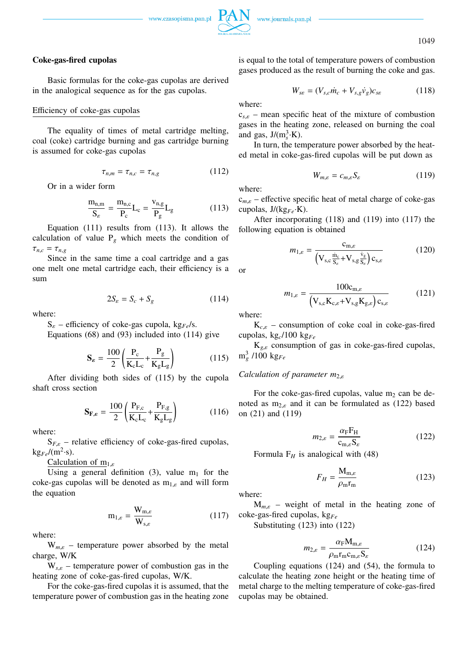1049

### **Coke-gas-fired cupolas**

Basic formulas for the coke-gas cupolas are derived in the analogical sequence as for the gas cupolas.

### Efficiency of coke-gas cupolas

The equality of times of metal cartridge melting, coal (coke) cartridge burning and gas cartridge burning is assumed for coke-gas cupolas

$$
\tau_{n,m} = \tau_{n,c} = \tau_{n,g} \tag{112}
$$

Or in a wider form

$$
\frac{m_{n,m}}{S_{\varepsilon}} = \frac{m_{n,c}}{P_c} L_c = \frac{v_{n,g}}{P_g} L_g \tag{113}
$$

Equation (111) results from (113). It allows the calculation of value  $P_\varphi$  which meets the condition of  $\tau_{n,c} = \tau_{n,g}$ 

Since in the same time a coal cartridge and a gas one melt one metal cartridge each, their efficiency is a sum

$$
2S_{\varepsilon} = S_c + S_g \tag{114}
$$

where:

S<sup>ε</sup> – efficiency of coke-gas cupola, kg*Fe*/s.

Equations (68) and (93) included into (114) give

$$
\mathbf{S}_{\varepsilon} = \frac{100}{2} \left( \frac{\mathbf{P}_{\rm c}}{\mathbf{K}_{\rm c} \mathbf{L}_{\rm c}} + \frac{\mathbf{P}_{\rm g}}{\mathbf{K}_{\rm g} \mathbf{L}_{\rm g}} \right) \tag{115}
$$

After dividing both sides of (115) by the cupola shaft cross section

$$
\mathbf{S}_{\mathbf{F},\varepsilon} = \frac{100}{2} \left( \frac{\mathbf{P}_{\mathbf{F},c}}{\mathbf{K}_c \mathbf{L}_c} + \frac{\mathbf{P}_{\mathbf{F},g}}{\mathbf{K}_g \mathbf{L}_g} \right) \tag{116}
$$

where:

 $S_{F,\varepsilon}$  – relative efficiency of coke-gas-fired cupolas,  $kg_{Fe}/(m^2 \cdot s)$ .

Calculation of  $m_{1,\varepsilon}$ 

Using a general definition (3), value  $m_1$  for the coke-gas cupolas will be denoted as  $m_{1,\varepsilon}$  and will form the equation

$$
\mathbf{m}_{1,\varepsilon} = \frac{\mathbf{W}_{\mathbf{m},\varepsilon}}{\mathbf{W}_{\mathbf{s},\varepsilon}} \tag{117}
$$

where:

 $W_{m,\varepsilon}$  – temperature power absorbed by the metal charge, W/K

 $W_{s,\varepsilon}$  – temperature power of combustion gas in the heating zone of coke-gas-fired cupolas, W/K.

For the coke-gas-fired cupolas it is assumed, that the temperature power of combustion gas in the heating zone is equal to the total of temperature powers of combustion gases produced as the result of burning the coke and gas.

$$
W_{s\varepsilon} = (V_{s,c}\dot{m}_c + V_{s,g}\dot{v}_g)c_{s\varepsilon} \tag{118}
$$

where:

 $c_{s,\varepsilon}$  – mean specific heat of the mixture of combustion gases in the heating zone, released on burning the coal and gas,  $J/(m_s^3 \cdot K)$ .

In turn, the temperature power absorbed by the heated metal in coke-gas-fired cupolas will be put down as

$$
W_{m,\varepsilon} = c_{m,\varepsilon} S_{\varepsilon} \tag{119}
$$

where:

c*m*,ε – effective specific heat of metal charge of coke-gas cupolas, J/(kg*Fe*·K).

After incorporating (118) and (119) into (117) the following equation is obtained

$$
m_{1,\varepsilon} = \frac{c_{m,\varepsilon}}{\left(V_{s,c}\frac{\dot{m}_c}{S_{\varepsilon}} + V_{s,g}\frac{\dot{v}_g}{S_{\varepsilon}}\right)c_{s,\varepsilon}}
$$
(120)

or

$$
m_{1,\varepsilon} = \frac{100c_{\mathrm{m},\varepsilon}}{\left(\mathbf{V}_{\mathrm{s,c}}\mathbf{K}_{\mathrm{c},\varepsilon} + \mathbf{V}_{\mathrm{s,g}}\mathbf{K}_{\mathrm{g},\varepsilon}\right)c_{\mathrm{s},\varepsilon}}
$$
(121)

where:

 $K_{c,\varepsilon}$  – consumption of coke coal in coke-gas-fired cupolas, kg*c*/100 kg*Fe*

K*g*,ε consumption of gas in coke-gas-fired cupolas,  $\rm m_g^3$  /100 kg<sub>Fe</sub>

## *Calculation of parameter m*2,ε

For the coke-gas-fired cupolas, value  $m_2$  can be denoted as  $m_{2,\varepsilon}$  and it can be formulated as (122) based on (21) and (119)

$$
m_{2,\varepsilon} = \frac{\alpha_{\rm F} F_{\rm H}}{c_{\rm m,\varepsilon} S_{\varepsilon}}\tag{122}
$$

Formula  $F_H$  is analogical with (48)

$$
F_H = \frac{\mathbf{M}_{\text{m},\varepsilon}}{\rho_{\text{m}} \mathbf{r}_{\text{m}}} \tag{123}
$$

where:

M*m*,ε – weight of metal in the heating zone of coke-gas-fired cupolas, kg*Fe*

Substituting (123) into (122)

$$
m_{2,\varepsilon} = \frac{\alpha_{\text{F}} M_{\text{m},\varepsilon}}{\rho_{\text{m}} r_{\text{m}} c_{\text{m},\varepsilon} S_{\varepsilon}} \tag{124}
$$

Coupling equations (124) and (54), the formula to calculate the heating zone height or the heating time of metal charge to the melting temperature of coke-gas-fired cupolas may be obtained.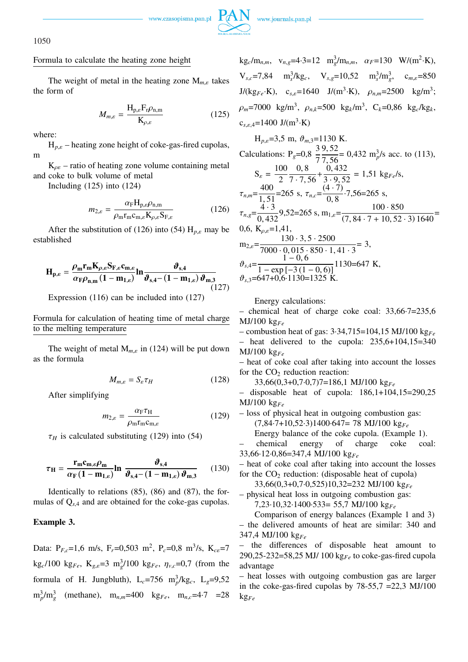

## Formula to calculate the heating zone height

The weight of metal in the heating zone M*m*,ε takes the form of

$$
M_{m,\varepsilon} = \frac{\mathcal{H}_{\mathbf{p},\varepsilon} \mathcal{F}_{\mathbf{r}} \rho_{\mathbf{n},\mathbf{m}}}{\mathcal{K}_{\rho,\varepsilon}}
$$
(125)

where:

H*p*,ε – heating zone height of coke-gas-fired cupolas, m

 $K_{\rho\varepsilon}$  – ratio of heating zone volume containing metal and coke to bulk volume of metal

Including (125) into (124)

$$
m_{2,\varepsilon} = \frac{\alpha_{\rm F} H_{\rm p,\varepsilon} \rho_{\rm n,m}}{\rho_{\rm m} r_{\rm m} c_{\rm m,\varepsilon} K_{\rho,\varepsilon} S_{\rm F,\varepsilon}}\tag{126}
$$

After the substitution of (126) into (54)  $H_{p,\varepsilon}$  may be established

$$
\mathbf{H}_{\mathbf{p},\varepsilon} = \frac{\rho_{\mathbf{m}} \mathbf{r}_{\mathbf{m}} \mathbf{K}_{\rho,\varepsilon} \mathbf{S}_{\mathbf{F},\varepsilon} \mathbf{c}_{\mathbf{m},\varepsilon}}{\alpha_{\mathbf{F}} \rho_{\mathbf{n},\mathbf{m}} \left(1 - \mathbf{m}_{1,\varepsilon}\right) \mathbf{m}_{\mathbf{\mathfrak{F}},\mathbf{4}} - \left(1 - \mathbf{m}_{1,\varepsilon}\right) \mathbf{\vartheta}_{\mathbf{m},\mathbf{3}}}
$$
(127)

Expression (116) can be included into (127)

Formula for calculation of heating time of metal charge to the melting temperature

The weight of metal  $M_{m,\varepsilon}$  in (124) will be put down as the formula

$$
M_{m,\varepsilon} = S_{\varepsilon} \tau_H \tag{128}
$$

After simplifying

$$
m_{2,\varepsilon} = \frac{\alpha_{\text{F}} \tau_{\text{H}}}{\rho_{\text{m}} r_{\text{m}} c_{\text{m},\varepsilon}} \tag{129}
$$

 $\tau_H$  is calculated substituting (129) into (54)

$$
\tau_{\rm H} = \frac{\mathbf{r}_{\rm m} \mathbf{c}_{\rm m,e} \rho_{\rm m}}{\alpha_{\rm F} \left(1 - \mathbf{m}_{1,e}\right)} \ln \frac{\boldsymbol{\vartheta}_{\rm s,4}}{\boldsymbol{\vartheta}_{\rm s,4} - \left(1 - \mathbf{m}_{1,e}\right) \boldsymbol{\vartheta}_{\rm m,3}} \qquad (130)
$$

Identically to relations (85), (86) and (87), the formulas of Q*s*,<sup>4</sup> and are obtained for the coke-gas cupolas.

## **Example 3.**

Data:  $P_{F,c}$ =1,6 m/s,  $F_r$ =0,503 m<sup>2</sup>,  $P_c$ =0,8 m<sup>3</sup>/s, K<sub>cε</sub>=7  $kg_c/100 \text{ kg}_{Fe}$ ,  $K_{g,e}=3 \text{ m}_g^3/100 \text{ kg}_{Fe}$ ,  $\eta_{v,c}=0,7$  (from the formula of H. Jungbluth),  $L_c$ =756 m<sup>3</sup>/kg<sub>c</sub>,  $L_g$ =9,52  $m_p^3/m_g^3$  (methane),  $m_{n,m}=400$  kg<sub>*Fe*</sub>,  $m_{n,c}=4.7$  =28  $k g_c/m_{n,m}$ ,  $v_{n,g} = 4.3 = 12$   $m_g^3/m_{n,m}$ ,  $\alpha_F = 130$   $W/(m^2 \cdot K)$ ,  $V_{s,c}$ =7,84 m<sub>s</sub><sup>3</sup>/kg<sub>c</sub>,  $V_{s,g}$ =10,52 m<sub>s</sub><sup>3</sup>/m<sub>g</sub><sup>3</sup>, c<sub>m,ε</sub>=850  $J/(kg_{Fe} \cdot K)$ ,  $c_{s,e} = 1640 \ J/(m^3 \cdot K)$ ,  $\rho_{n,m} = 2500 \ kg/m^3$ ;  $\rho_m$ =7000 kg/m<sup>3</sup>,  $\rho_{n,k}$ =500 kg<sub>k</sub>/m<sup>3</sup>, C<sub>k</sub>=0,86 kg<sub>c</sub>/kg<sub>k</sub>,  $c_{s,\varepsilon,4}$ =1400 J/(m<sup>3</sup>·K)

H<sub>p,e</sub>=3,5 m, 
$$
\vartheta_{m,3}=1130
$$
 K.  
\nCalculations: P<sub>g</sub>=0,8  $\frac{3}{7}\frac{9,52}{7,56}=0,432$  m<sub>p</sub><sup>3</sup>/s acc. to (113),  
\n
$$
S_{\varepsilon} = \frac{100}{2} \frac{0,8}{7 \cdot 7,56} + \frac{0,432}{3 \cdot 9,52} = 1,51 \text{ kg}_{Fe}/s,
$$
\n
$$
\tau_{n,m} = \frac{400}{1,51} = 265 \text{ s}, \tau_{n,c} = \frac{(4 \cdot 7)}{0,8} \cdot 7,56 = 265 \text{ s},
$$
\n
$$
\tau_{n,g} = \frac{4 \cdot 3}{0,432} = 9,52 = 265 \text{ s}, \text{ m}_{1,\varepsilon} = \frac{100 \cdot 850}{(7,84 \cdot 7 + 10,52 \cdot 3)1640} =
$$
\n0,6, K<sub>p,\varepsilon</sub>=1,41,  
\n
$$
m_{2,\varepsilon} = \frac{130 \cdot 3,5 \cdot 2500}{7000 \cdot 0,015 \cdot 850 \cdot 1,41 \cdot 3} = 3,
$$
\n
$$
\vartheta_{s,4} = \frac{1 - 0,6}{1 - \exp[-3(1 - 0,6)]} = 1130 = 647 \text{ K},
$$
\n
$$
\vartheta_{s,3} = 647 + 0,6 \cdot 1130 = 1325 \text{ K}.
$$

Energy calculations:

– chemical heat of charge coke coal: 33,66·7=235,6 MJ/100 kg*Fe*

– combustion heat of gas: 3·34,715=104,15 MJ/100 kg*Fe*

– heat delivered to the cupola:  $235.6+104.15=340$ MJ/100 kg*Fe*

– heat of coke coal after taking into account the losses for the  $CO<sub>2</sub>$  reduction reaction:

33,66(0,3+0,7·0,7)7=186,1 MJ/100 kg*Fe*

– disposable heat of cupola: 186,1+104,15=290,25 MJ/100 kg*Fe*

– loss of physical heat in outgoing combustion gas: (7,84·7+10,52·3)1400·647= 78 MJ/100 kg*Fe* Energy balance of the coke cupola. (Example 1).

– chemical energy of charge coke coal:

33,66·12·0,86=347,4 MJ/100 kg*Fe*

– heat of coke coal after taking into account the losses for the  $CO<sub>2</sub>$  reduction: (disposable heat of cupola)

33,66(0,3+0,7·0,525)10,32=232 MJ/100 kg*Fe*

– physical heat loss in outgoing combustion gas:

7,23·10,32·1400·533= 55,7 MJ/100 kg*Fe*

Comparison of energy balances (Example 1 and 3) – the delivered amounts of heat are similar: 340 and 347,4 MJ/100 kg*Fe*

– the differences of disposable heat amount to 290,25-232=58,25 MJ/ 100 kg*Fe* to coke-gas-fired cupola advantage

– heat losses with outgoing combustion gas are larger in the coke-gas-fired cupolas by  $78-55,7 = 22,3$  MJ/100 kg*Fe*